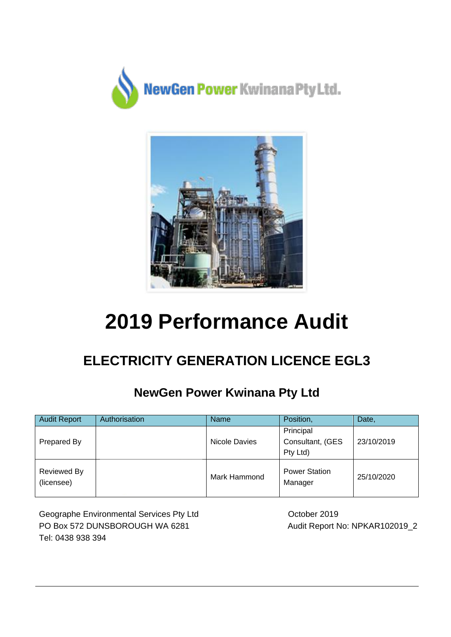



# **2019 Performance Audit**

# **ELECTRICITY GENERATION LICENCE EGL3**

### **NewGen Power Kwinana Pty Ltd**

| <b>Audit Report</b>              | Authorisation | Name          | Position,                                 | Date,      |
|----------------------------------|---------------|---------------|-------------------------------------------|------------|
| Prepared By                      |               | Nicole Davies | Principal<br>Consultant, (GES<br>Pty Ltd) | 23/10/2019 |
| <b>Reviewed By</b><br>(licensee) |               | Mark Hammond  | <b>Power Station</b><br>Manager           | 25/10/2020 |

Geographe Environmental Services Pty Ltd PO Box 572 DUNSBOROUGH WA 6281 Tel: 0438 938 394

 October 2019 Audit Report No: NPKAR102019\_2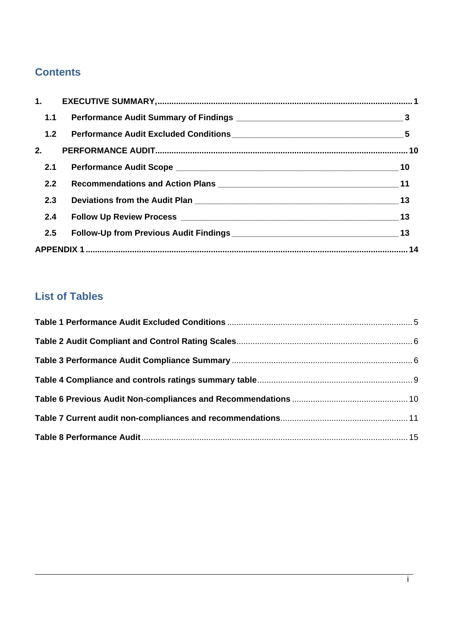### **Contents**

| 1.1 |                                                      |  |
|-----|------------------------------------------------------|--|
|     |                                                      |  |
|     |                                                      |  |
| 2.1 |                                                      |  |
| 2.2 |                                                      |  |
| 2.3 | Deviations from the Audit Plan 2008 2009 10:00:00 13 |  |
| 2.4 |                                                      |  |
| 2.5 |                                                      |  |
|     |                                                      |  |

### **List of Tables**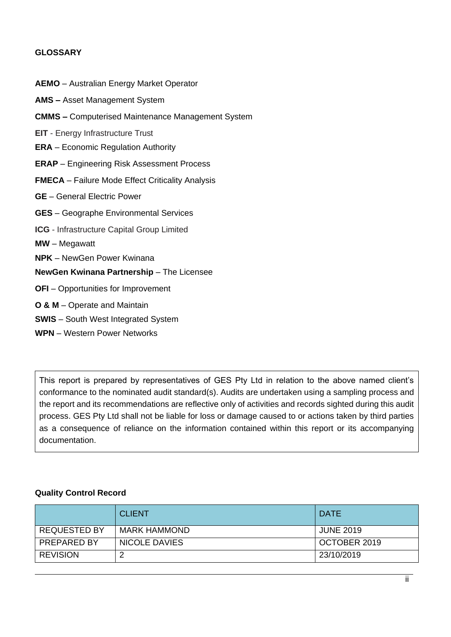### **GLOSSARY**

| <b>AEMO</b> - Australian Energy Market Operator          |
|----------------------------------------------------------|
| <b>AMS</b> - Asset Management System                     |
| <b>CMMS - Computerised Maintenance Management System</b> |
| <b>EIT</b> - Energy Infrastructure Trust                 |
| <b>ERA</b> – Economic Regulation Authority               |
| <b>ERAP</b> – Engineering Risk Assessment Process        |
| <b>FMECA</b> - Failure Mode Effect Criticality Analysis  |
| <b>GE</b> - General Electric Power                       |
| <b>GES</b> - Geographe Environmental Services            |
| <b>ICG</b> - Infrastructure Capital Group Limited        |
| <b>MW</b> – Megawatt                                     |
| <b>NPK</b> – NewGen Power Kwinana                        |
| NewGen Kwinana Partnership - The Licensee                |
| <b>OFI</b> – Opportunities for Improvement               |
| <b>O &amp; M</b> – Operate and Maintain                  |
| <b>SWIS</b> - South West Integrated System               |
|                                                          |

**WPN** – Western Power Networks

This report is prepared by representatives of GES Pty Ltd in relation to the above named client's conformance to the nominated audit standard(s). Audits are undertaken using a sampling process and the report and its recommendations are reflective only of activities and records sighted during this audit process. GES Pty Ltd shall not be liable for loss or damage caused to or actions taken by third parties as a consequence of reliance on the information contained within this report or its accompanying documentation.

### **Quality Control Record**

|                     | <b>CLIENT</b>       | <b>DATE</b>      |
|---------------------|---------------------|------------------|
| <b>REQUESTED BY</b> | <b>MARK HAMMOND</b> | <b>JUNE 2019</b> |
| PREPARED BY         | NICOLE DAVIES       | OCTOBER 2019     |
| <b>REVISION</b>     |                     | 23/10/2019       |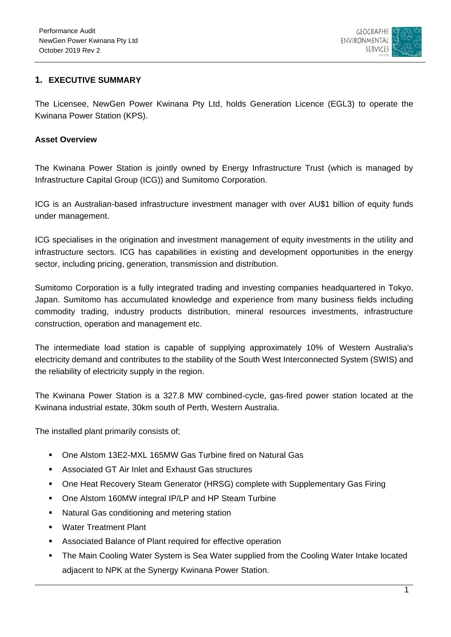

### <span id="page-3-0"></span>**1. EXECUTIVE SUMMARY**

The Licensee, NewGen Power Kwinana Pty Ltd, holds Generation Licence (EGL3) to operate the Kwinana Power Station (KPS).

### **Asset Overview**

The Kwinana Power Station is jointly owned by Energy Infrastructure Trust (which is managed by Infrastructure Capital Group (ICG)) and Sumitomo Corporation.

ICG is an Australian-based infrastructure investment manager with over AU\$1 billion of equity funds under management.

ICG specialises in the origination and investment management of equity investments in the utility and infrastructure sectors. ICG has capabilities in existing and development opportunities in the energy sector, including pricing, generation, transmission and distribution.

Sumitomo Corporation is a fully integrated trading and investing companies headquartered in Tokyo, Japan. Sumitomo has accumulated knowledge and experience from many business fields including commodity trading, industry products distribution, mineral resources investments, infrastructure construction, operation and management etc.

The intermediate load station is capable of supplying approximately 10% of Western Australia's electricity demand and contributes to the stability of the South West Interconnected System (SWIS) and the reliability of electricity supply in the region.

The Kwinana Power Station is a 327.8 MW combined-cycle, gas-fired power station located at the Kwinana industrial estate, 30km south of Perth, Western Australia.

The installed plant primarily consists of;

- One Alstom 13E2-MXL 165MW Gas Turbine fired on Natural Gas
- Associated GT Air Inlet and Exhaust Gas structures
- One Heat Recovery Steam Generator (HRSG) complete with Supplementary Gas Firing
- One Alstom 160MW integral IP/LP and HP Steam Turbine
- **Natural Gas conditioning and metering station**
- Water Treatment Plant
- Associated Balance of Plant required for effective operation
- The Main Cooling Water System is Sea Water supplied from the Cooling Water Intake located adjacent to NPK at the Synergy Kwinana Power Station.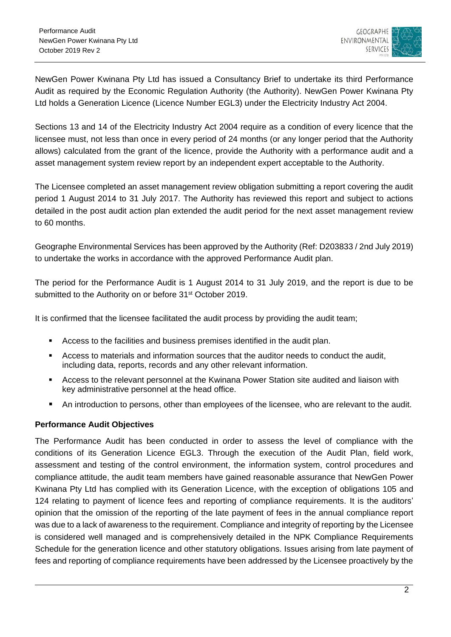

NewGen Power Kwinana Pty Ltd has issued a Consultancy Brief to undertake its third Performance Audit as required by the Economic Regulation Authority (the Authority). NewGen Power Kwinana Pty Ltd holds a Generation Licence (Licence Number EGL3) under the Electricity Industry Act 2004.

Sections 13 and 14 of the Electricity Industry Act 2004 require as a condition of every licence that the licensee must, not less than once in every period of 24 months (or any longer period that the Authority allows) calculated from the grant of the licence, provide the Authority with a performance audit and a asset management system review report by an independent expert acceptable to the Authority.

The Licensee completed an asset management review obligation submitting a report covering the audit period 1 August 2014 to 31 July 2017. The Authority has reviewed this report and subject to actions detailed in the post audit action plan extended the audit period for the next asset management review to 60 months.

Geographe Environmental Services has been approved by the Authority (Ref: D203833 / 2nd July 2019) to undertake the works in accordance with the approved Performance Audit plan.

The period for the Performance Audit is 1 August 2014 to 31 July 2019, and the report is due to be submitted to the Authority on or before 31<sup>st</sup> October 2019.

It is confirmed that the licensee facilitated the audit process by providing the audit team;

- Access to the facilities and business premises identified in the audit plan.
- Access to materials and information sources that the auditor needs to conduct the audit, including data, reports, records and any other relevant information.
- Access to the relevant personnel at the Kwinana Power Station site audited and liaison with key administrative personnel at the head office.
- An introduction to persons, other than employees of the licensee, who are relevant to the audit.

#### **Performance Audit Objectives**

The Performance Audit has been conducted in order to assess the level of compliance with the conditions of its Generation Licence EGL3. Through the execution of the Audit Plan, field work, assessment and testing of the control environment, the information system, control procedures and compliance attitude, the audit team members have gained reasonable assurance that NewGen Power Kwinana Pty Ltd has complied with its Generation Licence, with the exception of obligations 105 and 124 relating to payment of licence fees and reporting of compliance requirements. It is the auditors' opinion that the omission of the reporting of the late payment of fees in the annual compliance report was due to a lack of awareness to the requirement. Compliance and integrity of reporting by the Licensee is considered well managed and is comprehensively detailed in the NPK Compliance Requirements Schedule for the generation licence and other statutory obligations. Issues arising from late payment of fees and reporting of compliance requirements have been addressed by the Licensee proactively by the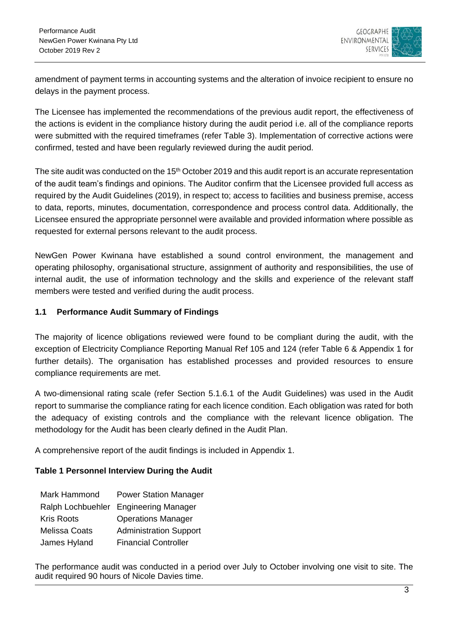

amendment of payment terms in accounting systems and the alteration of invoice recipient to ensure no delays in the payment process.

The Licensee has implemented the recommendations of the previous audit report, the effectiveness of the actions is evident in the compliance history during the audit period i.e. all of the compliance reports were submitted with the required timeframes (refer Table 3). Implementation of corrective actions were confirmed, tested and have been regularly reviewed during the audit period.

The site audit was conducted on the 15<sup>th</sup> October 2019 and this audit report is an accurate representation of the audit team's findings and opinions. The Auditor confirm that the Licensee provided full access as required by the Audit Guidelines (2019), in respect to; access to facilities and business premise, access to data, reports, minutes, documentation, correspondence and process control data. Additionally, the Licensee ensured the appropriate personnel were available and provided information where possible as requested for external persons relevant to the audit process.

NewGen Power Kwinana have established a sound control environment, the management and operating philosophy, organisational structure, assignment of authority and responsibilities, the use of internal audit, the use of information technology and the skills and experience of the relevant staff members were tested and verified during the audit process.

### <span id="page-5-0"></span>**1.1 Performance Audit Summary of Findings**

The majority of licence obligations reviewed were found to be compliant during the audit, with the exception of Electricity Compliance Reporting Manual Ref 105 and 124 (refer Table 6 & Appendix 1 for further details). The organisation has established processes and provided resources to ensure compliance requirements are met.

A two-dimensional rating scale (refer Section 5.1.6.1 of the Audit Guidelines) was used in the Audit report to summarise the compliance rating for each licence condition. Each obligation was rated for both the adequacy of existing controls and the compliance with the relevant licence obligation. The methodology for the Audit has been clearly defined in the Audit Plan.

A comprehensive report of the audit findings is included in Appendix 1.

### **Table 1 Personnel Interview During the Audit**

| Mark Hammond         | <b>Power Station Manager</b>          |
|----------------------|---------------------------------------|
|                      | Ralph Lochbuehler Engineering Manager |
| <b>Kris Roots</b>    | <b>Operations Manager</b>             |
| <b>Melissa Coats</b> | <b>Administration Support</b>         |
| James Hyland         | <b>Financial Controller</b>           |

The performance audit was conducted in a period over July to October involving one visit to site. The audit required 90 hours of Nicole Davies time.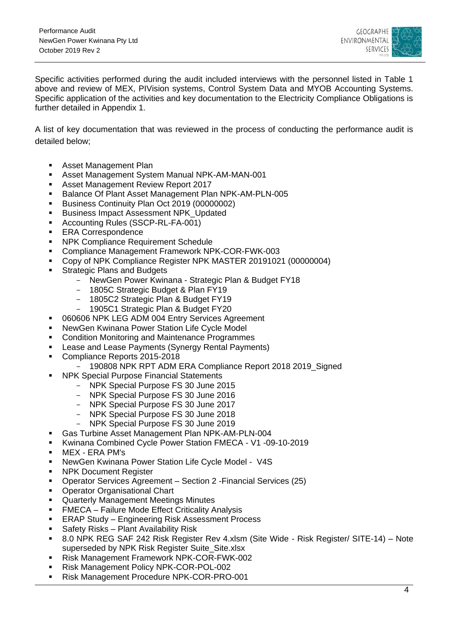

Specific activities performed during the audit included interviews with the personnel listed in Table 1 above and review of MEX, PIVision systems, Control System Data and MYOB Accounting Systems. Specific application of the activities and key documentation to the Electricity Compliance Obligations is further detailed in Appendix 1.

A list of key documentation that was reviewed in the process of conducting the performance audit is detailed below;

- Asset Management Plan
- Asset Management System Manual NPK-AM-MAN-001
- **Asset Management Review Report 2017**
- Balance Of Plant Asset Management Plan NPK-AM-PLN-005
- Business Continuity Plan Oct 2019 (00000002)
- Business Impact Assessment NPK\_Updated
- Accounting Rules (SSCP-RL-FA-001)
- **ERA Correspondence**
- NPK Compliance Requirement Schedule
- Compliance Management Framework NPK-COR-FWK-003
- Copy of NPK Compliance Register NPK MASTER 20191021 (00000004)
- Strategic Plans and Budgets
	- NewGen Power Kwinana Strategic Plan & Budget FY18
	- 1805C Strategic Budget & Plan FY19
	- 1805C2 Strategic Plan & Budget FY19
	- 1905C1 Strategic Plan & Budget FY20
- 060606 NPK LEG ADM 004 Entry Services Agreement
- NewGen Kwinana Power Station Life Cycle Model
- **EXECONDITION CONDITION MONITORY CONDITIONS**
- **EXECT:** Lease and Lease Payments (Synergy Rental Payments)
- Compliance Reports 2015-2018
	- 190808 NPK RPT ADM ERA Compliance Report 2018 2019\_Signed
- NPK Special Purpose Financial Statements
	- NPK Special Purpose FS 30 June 2015
	- NPK Special Purpose FS 30 June 2016
	- NPK Special Purpose FS 30 June 2017
	- NPK Special Purpose FS 30 June 2018
	- NPK Special Purpose FS 30 June 2019
- Gas Turbine Asset Management Plan NPK-AM-PLN-004
- Kwinana Combined Cycle Power Station FMECA V1 -09-10-2019
- MEX ERA PM's
- NewGen Kwinana Power Station Life Cycle Model V4S
- NPK Document Register
- Operator Services Agreement Section 2 -Financial Services (25)
- Operator Organisational Chart
- Quarterly Management Meetings Minutes
- FMECA Failure Mode Effect Criticality Analysis
- **ERAP Study Engineering Risk Assessment Process**
- Safety Risks Plant Availability Risk
- 8.0 NPK REG SAF 242 Risk Register Rev 4.xlsm (Site Wide Risk Register/ SITE-14) Note superseded by NPK Risk Register Suite\_Site.xlsx
- Risk Management Framework NPK-COR-FWK-002
- Risk Management Policy NPK-COR-POL-002
- Risk Management Procedure NPK-COR-PRO-001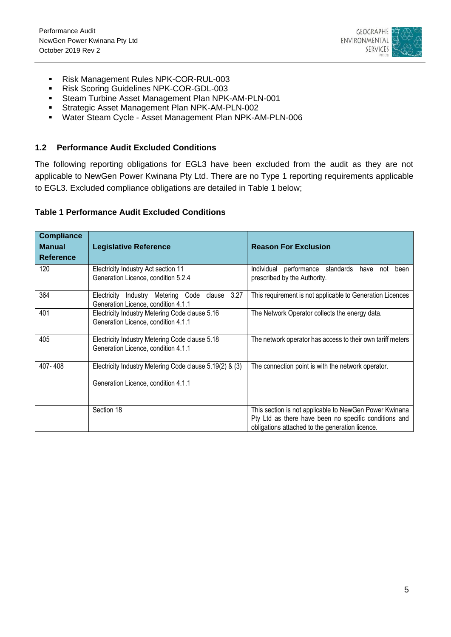

- Risk Management Rules NPK-COR-RUL-003
- Risk Scoring Guidelines NPK-COR-GDL-003
- Steam Turbine Asset Management Plan NPK-AM-PLN-001
- Strategic Asset Management Plan NPK-AM-PLN-002
- Water Steam Cycle Asset Management Plan NPK-AM-PLN-006

### <span id="page-7-0"></span>**1.2 Performance Audit Excluded Conditions**

The following reporting obligations for EGL3 have been excluded from the audit as they are not applicable to NewGen Power Kwinana Pty Ltd. There are no Type 1 reporting requirements applicable to EGL3. Excluded compliance obligations are detailed in Table 1 below;

### <span id="page-7-1"></span>**Table 1 Performance Audit Excluded Conditions**

<span id="page-7-2"></span>

| <b>Compliance</b> |                                                                                                |                                                                                                                                                                    |
|-------------------|------------------------------------------------------------------------------------------------|--------------------------------------------------------------------------------------------------------------------------------------------------------------------|
| <b>Manual</b>     | <b>Legislative Reference</b>                                                                   | <b>Reason For Exclusion</b>                                                                                                                                        |
| <b>Reference</b>  |                                                                                                |                                                                                                                                                                    |
| 120               | Electricity Industry Act section 11<br>Generation Licence, condition 5.2.4                     | Individual<br>performance standards have not<br>been<br>prescribed by the Authority.                                                                               |
| 364               | 3.27<br>Industry Metering Code clause<br>Electricity<br>Generation Licence, condition 4.1.1    | This requirement is not applicable to Generation Licences                                                                                                          |
| 401               | Electricity Industry Metering Code clause 5.16<br>Generation Licence, condition 4.1.1          | The Network Operator collects the energy data.                                                                                                                     |
| 405               | Electricity Industry Metering Code clause 5.18<br>Generation Licence, condition 4.1.1          | The network operator has access to their own tariff meters                                                                                                         |
| 407-408           | Electricity Industry Metering Code clause 5.19(2) & (3)<br>Generation Licence, condition 4.1.1 | The connection point is with the network operator.                                                                                                                 |
|                   | Section 18                                                                                     | This section is not applicable to NewGen Power Kwinana<br>Pty Ltd as there have been no specific conditions and<br>obligations attached to the generation licence. |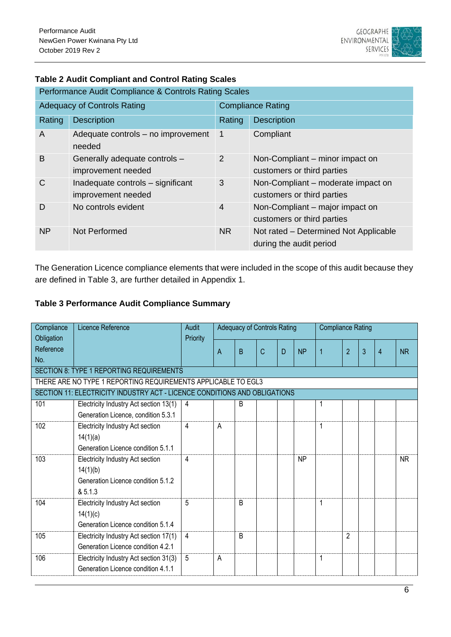

| Performance Audit Compliance & Controls Rating Scales |                                                         |                          |                                                                  |  |  |  |  |
|-------------------------------------------------------|---------------------------------------------------------|--------------------------|------------------------------------------------------------------|--|--|--|--|
|                                                       | <b>Adequacy of Controls Rating</b>                      | <b>Compliance Rating</b> |                                                                  |  |  |  |  |
| Rating                                                | <b>Description</b>                                      | Rating                   | <b>Description</b>                                               |  |  |  |  |
| A                                                     | Adequate controls – no improvement<br>needed            | $\mathbf 1$              | Compliant                                                        |  |  |  |  |
| B                                                     | Generally adequate controls -<br>improvement needed     | 2                        | Non-Compliant – minor impact on<br>customers or third parties    |  |  |  |  |
| C                                                     | Inadequate controls - significant<br>improvement needed | 3                        | Non-Compliant - moderate impact on<br>customers or third parties |  |  |  |  |
| D                                                     | No controls evident                                     | $\overline{4}$           | Non-Compliant – major impact on<br>customers or third parties    |  |  |  |  |
| <b>NP</b>                                             | Not Performed                                           | <b>NR</b>                | Not rated - Determined Not Applicable<br>during the audit period |  |  |  |  |

### **Table 2 Audit Compliant and Control Rating Scales**

The Generation Licence compliance elements that were included in the scope of this audit because they are defined in Table 3, are further detailed in Appendix 1.

### <span id="page-8-0"></span>**Table 3 Performance Audit Compliance Summary**

| Compliance | Licence Reference                                                         | <b>Audit</b> | <b>Adequacy of Controls Rating</b> |                |              |   | <b>Compliance Rating</b> |                |                |                |                |           |
|------------|---------------------------------------------------------------------------|--------------|------------------------------------|----------------|--------------|---|--------------------------|----------------|----------------|----------------|----------------|-----------|
| Obligation |                                                                           | Priority     |                                    |                |              |   |                          |                |                |                |                |           |
| Reference  |                                                                           |              | Α                                  | B              | $\mathsf{C}$ | D | <b>NP</b>                | $\overline{1}$ | $\overline{2}$ | $\overline{3}$ | $\overline{4}$ | <b>NR</b> |
| No.        |                                                                           |              |                                    |                |              |   |                          |                |                |                |                |           |
|            | SECTION 8: TYPE 1 REPORTING REQUIREMENTS                                  |              |                                    |                |              |   |                          |                |                |                |                |           |
|            | THERE ARE NO TYPE 1 REPORTING REQUIREMENTS APPLICABLE TO EGL3             |              |                                    |                |              |   |                          |                |                |                |                |           |
|            | SECTION 11: ELECTRICITY INDUSTRY ACT - LICENCE CONDITIONS AND OBLIGATIONS |              |                                    |                |              |   |                          |                |                |                |                |           |
| 101        | Electricity Industry Act section 13(1)                                    | 4            |                                    | B              |              |   |                          | 1              |                |                |                |           |
|            | Generation Licence, condition 5.3.1                                       |              |                                    |                |              |   |                          |                |                |                |                |           |
| 102        | Electricity Industry Act section                                          | 4            | Α                                  |                |              |   |                          | 1              |                |                |                |           |
|            | 14(1)(a)                                                                  |              |                                    |                |              |   |                          |                |                |                |                |           |
|            | Generation Licence condition 5.1.1                                        |              |                                    |                |              |   |                          |                |                |                |                |           |
| 103        | Electricity Industry Act section                                          | 4            |                                    |                |              |   | <b>NP</b>                |                |                |                |                | <b>NR</b> |
|            | 14(1)(b)                                                                  |              |                                    |                |              |   |                          |                |                |                |                |           |
|            | Generation Licence condition 5.1.2                                        |              |                                    |                |              |   |                          |                |                |                |                |           |
|            | & 5.1.3                                                                   |              |                                    |                |              |   |                          |                |                |                |                |           |
| 104        | Electricity Industry Act section                                          | 5            |                                    | $\overline{B}$ |              |   |                          | 1              |                |                |                |           |
|            | 14(1)(c)                                                                  |              |                                    |                |              |   |                          |                |                |                |                |           |
|            | Generation Licence condition 5.1.4                                        |              |                                    |                |              |   |                          |                |                |                |                |           |
| 105        | Electricity Industry Act section 17(1)                                    | 4            |                                    | B              |              |   |                          |                | 2              |                |                |           |
|            | Generation Licence condition 4.2.1                                        |              |                                    |                |              |   |                          |                |                |                |                |           |
| 106        | Electricity Industry Act section 31(3)                                    | 5            | A                                  |                |              |   |                          | 1              |                |                |                |           |
|            | Generation Licence condition 4.1.1                                        |              |                                    |                |              |   |                          |                |                |                |                |           |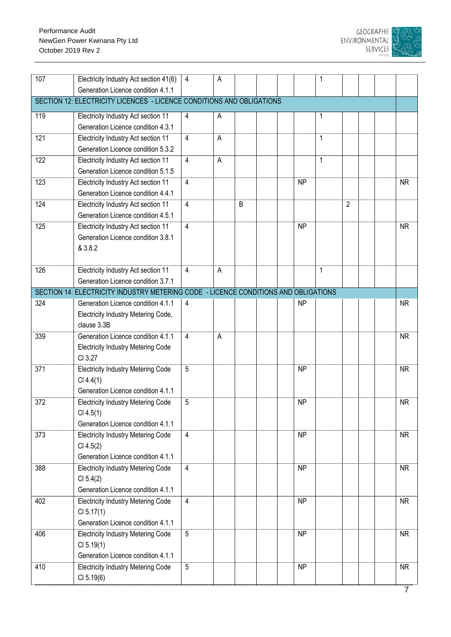

| 107 | Electricity Industry Act section 41(6)                                              | 4              | А |   |  |           | 1            |                |  |           |
|-----|-------------------------------------------------------------------------------------|----------------|---|---|--|-----------|--------------|----------------|--|-----------|
|     | Generation Licence condition 4.1.1                                                  |                |   |   |  |           |              |                |  |           |
|     | SECTION 12: ELECTRICITY LICENCES - LICENCE CONDITIONS AND OBLIGATIONS               |                |   |   |  |           |              |                |  |           |
| 119 | Electricity Industry Act section 11                                                 | 4              | A |   |  |           | 1            |                |  |           |
|     | Generation Licence condition 4.3.1                                                  |                |   |   |  |           |              |                |  |           |
| 121 | Electricity Industry Act section 11                                                 | $\overline{4}$ | A |   |  |           | $\mathbf 1$  |                |  |           |
|     | Generation Licence condition 5.3.2                                                  |                |   |   |  |           |              |                |  |           |
| 122 | Electricity Industry Act section 11                                                 | $\overline{4}$ | A |   |  |           | $\mathbf{1}$ |                |  |           |
|     | Generation Licence condition 5.1.5                                                  |                |   |   |  |           |              |                |  |           |
| 123 | Electricity Industry Act section 11                                                 | $\overline{4}$ |   |   |  | <b>NP</b> |              |                |  | <b>NR</b> |
|     | Generation Licence condition 4.4.1                                                  |                |   |   |  |           |              |                |  |           |
| 124 | Electricity Industry Act section 11                                                 | $\overline{4}$ |   | B |  |           |              | $\overline{2}$ |  |           |
|     | Generation Licence condition 4.5.1                                                  |                |   |   |  |           |              |                |  |           |
| 125 | Electricity Industry Act section 11                                                 | $\overline{4}$ |   |   |  | <b>NP</b> |              |                |  | <b>NR</b> |
|     | Generation Licence condition 3.8.1                                                  |                |   |   |  |           |              |                |  |           |
|     | & 3.8.2                                                                             |                |   |   |  |           |              |                |  |           |
|     |                                                                                     |                |   |   |  |           |              |                |  |           |
| 126 | Electricity Industry Act section 11                                                 | $\overline{4}$ | A |   |  |           | $\mathbf{1}$ |                |  |           |
|     | Generation Licence condition 3.7.1                                                  |                |   |   |  |           |              |                |  |           |
|     | SECTION 14: ELECTRICITY INDUSTRY METERING CODE - LICENCE CONDITIONS AND OBLIGATIONS |                |   |   |  |           |              |                |  |           |
| 324 | Generation Licence condition 4.1.1                                                  | $\overline{4}$ |   |   |  | <b>NP</b> |              |                |  | <b>NR</b> |
|     | Electricity Industry Metering Code,                                                 |                |   |   |  |           |              |                |  |           |
|     | clause 3.3B                                                                         |                |   |   |  |           |              |                |  |           |
| 339 | Generation Licence condition 4.1.1                                                  | $\overline{4}$ | А |   |  |           |              |                |  | <b>NR</b> |
|     | <b>Electricity Industry Metering Code</b><br>CI 3.27                                |                |   |   |  |           |              |                |  |           |
| 371 |                                                                                     | 5              |   |   |  | <b>NP</b> |              |                |  | <b>NR</b> |
|     | <b>Electricity Industry Metering Code</b><br>CI 4.4(1)                              |                |   |   |  |           |              |                |  |           |
|     | Generation Licence condition 4.1.1                                                  |                |   |   |  |           |              |                |  |           |
| 372 | <b>Electricity Industry Metering Code</b>                                           | 5              |   |   |  | <b>NP</b> |              |                |  | <b>NR</b> |
|     | CI 4.5(1)                                                                           |                |   |   |  |           |              |                |  |           |
|     | Generation Licence condition 4.1.1                                                  |                |   |   |  |           |              |                |  |           |
| 373 | <b>Electricity Industry Metering Code</b>                                           | $\overline{4}$ |   |   |  | <b>NP</b> |              |                |  | <b>NR</b> |
|     | Cl 4.5(2)                                                                           |                |   |   |  |           |              |                |  |           |
|     | Generation Licence condition 4.1.1                                                  |                |   |   |  |           |              |                |  |           |
| 388 | <b>Electricity Industry Metering Code</b>                                           | $\overline{4}$ |   |   |  | <b>NP</b> |              |                |  | <b>NR</b> |
|     | CI 5.4(2)                                                                           |                |   |   |  |           |              |                |  |           |
|     | Generation Licence condition 4.1.1                                                  |                |   |   |  |           |              |                |  |           |
| 402 | <b>Electricity Industry Metering Code</b>                                           | $\overline{4}$ |   |   |  | <b>NP</b> |              |                |  | <b>NR</b> |
|     | CI 5.17(1)                                                                          |                |   |   |  |           |              |                |  |           |
|     | Generation Licence condition 4.1.1                                                  |                |   |   |  |           |              |                |  |           |
| 406 | <b>Electricity Industry Metering Code</b>                                           | $5\,$          |   |   |  | <b>NP</b> |              |                |  | <b>NR</b> |
|     | CI 5.19(1)                                                                          |                |   |   |  |           |              |                |  |           |
|     | Generation Licence condition 4.1.1                                                  |                |   |   |  |           |              |                |  |           |
| 410 | <b>Electricity Industry Metering Code</b>                                           | 5              |   |   |  | <b>NP</b> |              |                |  | <b>NR</b> |
|     | CI 5.19(6)                                                                          |                |   |   |  |           |              |                |  |           |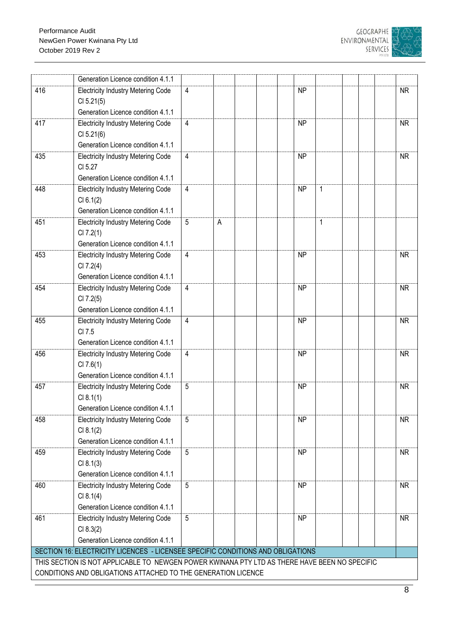

|                                                               | Generation Licence condition 4.1.1                                                            |                 |   |  |                |  |           |
|---------------------------------------------------------------|-----------------------------------------------------------------------------------------------|-----------------|---|--|----------------|--|-----------|
| 416                                                           | <b>Electricity Industry Metering Code</b>                                                     | 4               |   |  | <b>NP</b>      |  | <b>NR</b> |
|                                                               | CI 5.21(5)                                                                                    |                 |   |  |                |  |           |
|                                                               | Generation Licence condition 4.1.1                                                            |                 |   |  |                |  |           |
| 417                                                           | <b>Electricity Industry Metering Code</b>                                                     | $\overline{4}$  |   |  | <b>NP</b>      |  | <b>NR</b> |
|                                                               | CI 5.21(6)                                                                                    |                 |   |  |                |  |           |
|                                                               | Generation Licence condition 4.1.1                                                            |                 |   |  |                |  |           |
| 435                                                           | <b>Electricity Industry Metering Code</b>                                                     | 4               |   |  | <b>NP</b>      |  | <b>NR</b> |
|                                                               | CI 5.27                                                                                       |                 |   |  |                |  |           |
|                                                               | Generation Licence condition 4.1.1                                                            |                 |   |  |                |  |           |
| 448                                                           | <b>Electricity Industry Metering Code</b>                                                     | 4               |   |  | <b>NP</b><br>1 |  |           |
|                                                               | CI 6.1(2)                                                                                     |                 |   |  |                |  |           |
|                                                               | Generation Licence condition 4.1.1                                                            |                 |   |  |                |  |           |
| 451                                                           | <b>Electricity Industry Metering Code</b>                                                     | 5               | Α |  | 1              |  |           |
|                                                               | CI 7.2(1)                                                                                     |                 |   |  |                |  |           |
|                                                               | Generation Licence condition 4.1.1                                                            |                 |   |  |                |  |           |
| 453                                                           | <b>Electricity Industry Metering Code</b>                                                     | 4               |   |  | <b>NP</b>      |  | <b>NR</b> |
|                                                               | CI 7.2(4)                                                                                     |                 |   |  |                |  |           |
|                                                               | Generation Licence condition 4.1.1                                                            |                 |   |  |                |  |           |
| 454                                                           | <b>Electricity Industry Metering Code</b>                                                     | $\overline{4}$  |   |  | <b>NP</b>      |  | <b>NR</b> |
|                                                               | CI 7.2(5)                                                                                     |                 |   |  |                |  |           |
|                                                               | Generation Licence condition 4.1.1                                                            |                 |   |  |                |  |           |
| 455                                                           | <b>Electricity Industry Metering Code</b>                                                     | 4               |   |  | <b>NP</b>      |  | <b>NR</b> |
|                                                               | CI 7.5                                                                                        |                 |   |  |                |  |           |
|                                                               | Generation Licence condition 4.1.1                                                            |                 |   |  |                |  |           |
| 456                                                           | <b>Electricity Industry Metering Code</b>                                                     | 4               |   |  | <b>NP</b>      |  | <b>NR</b> |
|                                                               | CI 7.6(1)                                                                                     |                 |   |  |                |  |           |
|                                                               | Generation Licence condition 4.1.1                                                            |                 |   |  |                |  |           |
| 457                                                           | <b>Electricity Industry Metering Code</b>                                                     | 5               |   |  | <b>NP</b>      |  | <b>NR</b> |
|                                                               | CI 8.1(1)                                                                                     |                 |   |  |                |  |           |
|                                                               | Generation Licence condition 4.1.1                                                            |                 |   |  |                |  |           |
| 458                                                           | <b>Electricity Industry Metering Code</b>                                                     | 5               |   |  | <b>NP</b>      |  | <b>NR</b> |
|                                                               | CI 8.1(2)                                                                                     |                 |   |  |                |  |           |
|                                                               | Generation Licence condition 4.1.1                                                            |                 |   |  |                |  |           |
| 459                                                           | <b>Electricity Industry Metering Code</b>                                                     | 5               |   |  | <b>NP</b>      |  | <b>NR</b> |
|                                                               | CI 8.1(3)                                                                                     |                 |   |  |                |  |           |
|                                                               | Generation Licence condition 4.1.1                                                            |                 |   |  |                |  |           |
| 460                                                           | <b>Electricity Industry Metering Code</b>                                                     | 5               |   |  | <b>NP</b>      |  | <b>NR</b> |
|                                                               | CI 8.1(4)                                                                                     |                 |   |  |                |  |           |
|                                                               | Generation Licence condition 4.1.1                                                            |                 |   |  |                |  |           |
| 461                                                           | <b>Electricity Industry Metering Code</b>                                                     | $5\phantom{.0}$ |   |  | <b>NP</b>      |  | <b>NR</b> |
|                                                               | CI 8.3(2)                                                                                     |                 |   |  |                |  |           |
|                                                               | Generation Licence condition 4.1.1                                                            |                 |   |  |                |  |           |
|                                                               | SECTION 16: ELECTRICITY LICENCES - LICENSEE SPECIFIC CONDITIONS AND OBLIGATIONS               |                 |   |  |                |  |           |
|                                                               | THIS SECTION IS NOT APPLICABLE TO NEWGEN POWER KWINANA PTY LTD AS THERE HAVE BEEN NO SPECIFIC |                 |   |  |                |  |           |
| CONDITIONS AND OBLIGATIONS ATTACHED TO THE GENERATION LICENCE |                                                                                               |                 |   |  |                |  |           |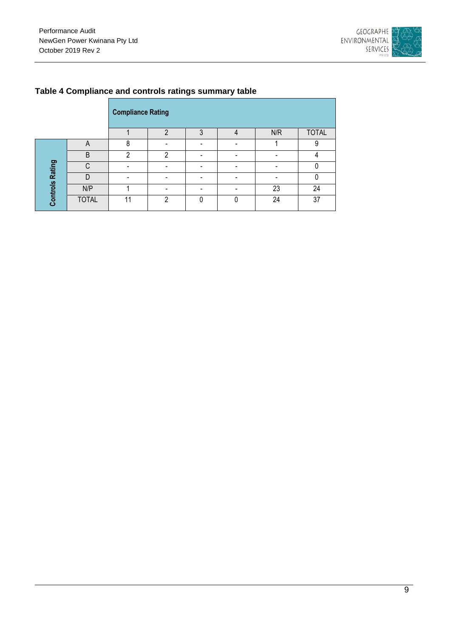

|                        |              | <b>Compliance Rating</b> |   |   |     |              |
|------------------------|--------------|--------------------------|---|---|-----|--------------|
|                        |              |                          |   | 3 | N/R | <b>TOTAL</b> |
|                        | A            | ጸ                        |   |   |     | 9            |
| <b>Controls Rating</b> | B            | ∩                        | ∩ |   |     |              |
|                        | ⌒            |                          |   |   |     |              |
|                        |              |                          |   |   |     |              |
|                        | N/P          |                          |   |   | 23  | 24           |
|                        | <b>TOTAL</b> | 11                       | ∩ | N | 24  | 37           |

### <span id="page-11-0"></span>**Table 4 Compliance and controls ratings summary table**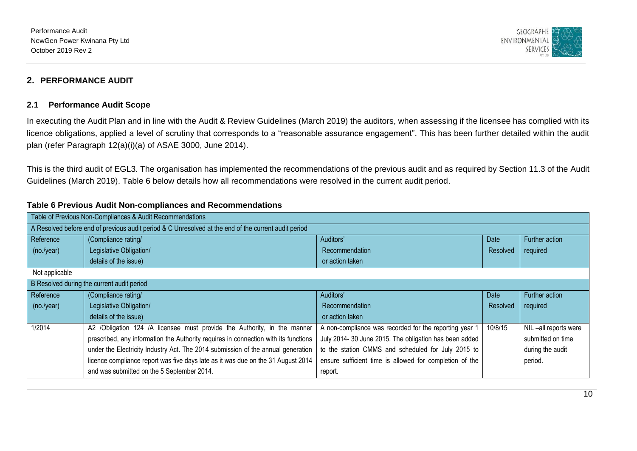

### **2. PERFORMANCE AUDIT**

#### **2.1 Performance Audit Scope**

In executing the Audit Plan and in line with the Audit & Review Guidelines (March 2019) the auditors, when assessing if the licensee has complied with its licence obligations, applied a level of scrutiny that corresponds to a "reasonable assurance engagement". This has been further detailed within the audit plan (refer Paragraph 12(a)(i)(a) of ASAE 3000, June 2014).

This is the third audit of EGL3. The organisation has implemented the recommendations of the previous audit and as required by Section 11.3 of the Audit Guidelines (March 2019). Table 6 below details how all recommendations were resolved in the current audit period.

<span id="page-12-2"></span><span id="page-12-1"></span><span id="page-12-0"></span>

| Table of Previous Non-Compliances & Audit Recommendations |                                                                                                      |                                                         |          |                      |  |  |  |  |  |
|-----------------------------------------------------------|------------------------------------------------------------------------------------------------------|---------------------------------------------------------|----------|----------------------|--|--|--|--|--|
|                                                           | A Resolved before end of previous audit period & C Unresolved at the end of the current audit period |                                                         |          |                      |  |  |  |  |  |
| Reference                                                 | (Compliance rating/                                                                                  | Auditors'                                               | Date     | Further action       |  |  |  |  |  |
| (no./year)                                                | Legislative Obligation/                                                                              | Recommendation                                          | Resolved | required             |  |  |  |  |  |
|                                                           | details of the issue)                                                                                | or action taken                                         |          |                      |  |  |  |  |  |
| Not applicable                                            |                                                                                                      |                                                         |          |                      |  |  |  |  |  |
|                                                           | B Resolved during the current audit period                                                           |                                                         |          |                      |  |  |  |  |  |
| Reference                                                 | (Compliance rating/                                                                                  | Auditors'                                               | Date     | Further action       |  |  |  |  |  |
| (no./year)                                                | Legislative Obligation/                                                                              | Recommendation                                          | Resolved | required             |  |  |  |  |  |
|                                                           | details of the issue)                                                                                | or action taken                                         |          |                      |  |  |  |  |  |
| 1/2014                                                    | A2 /Obligation 124 /A licensee must provide the Authority, in the manner                             | A non-compliance was recorded for the reporting year 1  | 10/8/15  | NIL-all reports were |  |  |  |  |  |
|                                                           | prescribed, any information the Authority requires in connection with its functions                  | July 2014-30 June 2015. The obligation has been added   |          | submitted on time    |  |  |  |  |  |
|                                                           | under the Electricity Industry Act. The 2014 submission of the annual generation                     | to the station CMMS and scheduled for July 2015 to      |          | during the audit     |  |  |  |  |  |
|                                                           | licence compliance report was five days late as it was due on the 31 August 2014                     | ensure sufficient time is allowed for completion of the |          | period.              |  |  |  |  |  |
|                                                           | and was submitted on the 5 September 2014.                                                           | report.                                                 |          |                      |  |  |  |  |  |

#### **Table 6 Previous Audit Non-compliances and Recommendations**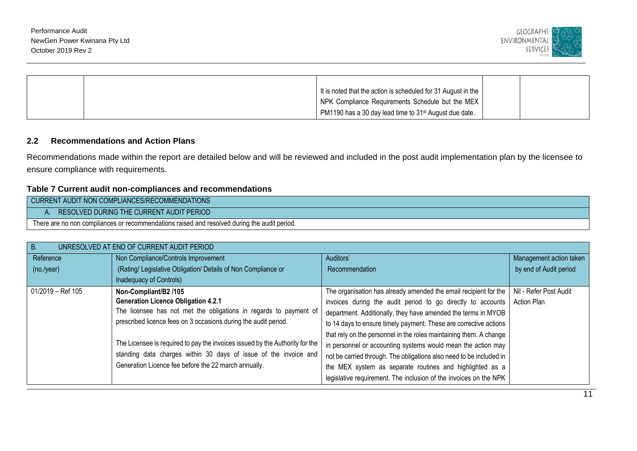

|  | It is noted that the action is scheduled for 31 August in the      |  |
|--|--------------------------------------------------------------------|--|
|  | NPK Compliance Requirements Schedule but the MEX                   |  |
|  | PM1190 has a 30 day lead time to 31 <sup>st</sup> August due date. |  |

### **2.2 Recommendations and Action Plans**

Recommendations made within the report are detailed below and will be reviewed and included in the post audit implementation plan by the licensee to ensure compliance with requirements.

### **Table 7 Current audit non-compliances and recommendations**

| CURRENT AUDIT NON COMPLIANCES/RECOMMENDATIONS                                                |  |  |  |  |  |  |
|----------------------------------------------------------------------------------------------|--|--|--|--|--|--|
| RESOLVED DURING THE CURRENT AUDIT PERIOD                                                     |  |  |  |  |  |  |
| There are no non compliances or recommendations raised and resolved during the audit period. |  |  |  |  |  |  |

<span id="page-13-1"></span><span id="page-13-0"></span>

| <b>B.</b>         | UNRESOLVED AT END OF CURRENT AUDIT PERIOD                                    |                                                                     |                         |  |  |  |  |  |  |
|-------------------|------------------------------------------------------------------------------|---------------------------------------------------------------------|-------------------------|--|--|--|--|--|--|
| Reference         | Non Compliance/Controls Improvement                                          | Auditors'                                                           | Management action taken |  |  |  |  |  |  |
| (no./year)        | (Rating/ Legislative Obligation/ Details of Non Compliance or                | Recommendation                                                      | by end of Audit period  |  |  |  |  |  |  |
|                   | Inadequacy of Controls)                                                      |                                                                     |                         |  |  |  |  |  |  |
| 01/2019 - Ref 105 | Non-Compliant/B2 /105                                                        | The organisation has already amended the email recipient for the    | Nil - Refer Post Audit  |  |  |  |  |  |  |
|                   | <b>Generation Licence Obligation 4.2.1</b>                                   | invoices during the audit period to go directly to accounts         | Action Plan             |  |  |  |  |  |  |
|                   | The licensee has not met the obligations in regards to payment of            | department. Additionally, they have amended the terms in MYOB       |                         |  |  |  |  |  |  |
|                   | prescribed licence fees on 3 occasions during the audit period.              | to 14 days to ensure timely payment. These are corrective actions   |                         |  |  |  |  |  |  |
|                   |                                                                              | that rely on the personnel in the roles maintaining them. A change  |                         |  |  |  |  |  |  |
|                   | The Licensee is required to pay the invoices issued by the Authority for the | in personnel or accounting systems would mean the action may        |                         |  |  |  |  |  |  |
|                   | standing data charges within 30 days of issue of the invoice and             | not be carried through. The obligations also need to be included in |                         |  |  |  |  |  |  |
|                   | Generation Licence fee before the 22 march annually.                         | the MEX system as separate routines and highlighted as a            |                         |  |  |  |  |  |  |
|                   |                                                                              | legislative requirement. The inclusion of the invoices on the NPK   |                         |  |  |  |  |  |  |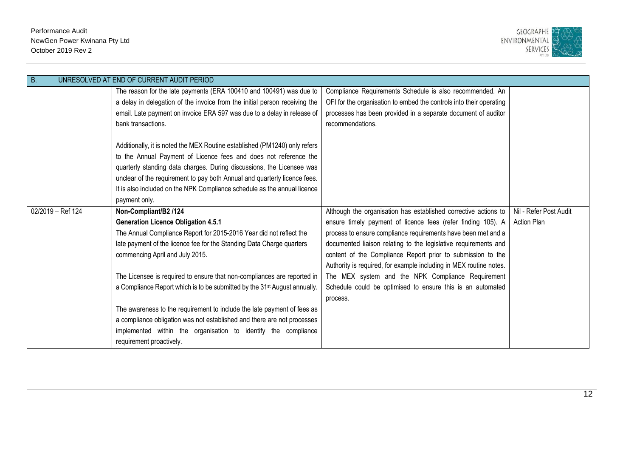

| В.                | UNRESOLVED AT END OF CURRENT AUDIT PERIOD                                             |                                                                     |                        |
|-------------------|---------------------------------------------------------------------------------------|---------------------------------------------------------------------|------------------------|
|                   | The reason for the late payments (ERA 100410 and 100491) was due to                   | Compliance Requirements Schedule is also recommended. An            |                        |
|                   | a delay in delegation of the invoice from the initial person receiving the            | OFI for the organisation to embed the controls into their operating |                        |
|                   | email. Late payment on invoice ERA 597 was due to a delay in release of               | processes has been provided in a separate document of auditor       |                        |
|                   | bank transactions.                                                                    | recommendations.                                                    |                        |
|                   |                                                                                       |                                                                     |                        |
|                   | Additionally, it is noted the MEX Routine established (PM1240) only refers            |                                                                     |                        |
|                   | to the Annual Payment of Licence fees and does not reference the                      |                                                                     |                        |
|                   | quarterly standing data charges. During discussions, the Licensee was                 |                                                                     |                        |
|                   | unclear of the requirement to pay both Annual and quarterly licence fees.             |                                                                     |                        |
|                   | It is also included on the NPK Compliance schedule as the annual licence              |                                                                     |                        |
|                   | payment only.                                                                         |                                                                     |                        |
| 02/2019 - Ref 124 | Non-Compliant/B2 /124                                                                 | Although the organisation has established corrective actions to     | Nil - Refer Post Audit |
|                   | <b>Generation Licence Obligation 4.5.1</b>                                            | ensure timely payment of licence fees (refer finding 105). A        | <b>Action Plan</b>     |
|                   | The Annual Compliance Report for 2015-2016 Year did not reflect the                   | process to ensure compliance requirements have been met and a       |                        |
|                   | late payment of the licence fee for the Standing Data Charge quarters                 | documented liaison relating to the legislative requirements and     |                        |
|                   | commencing April and July 2015.                                                       | content of the Compliance Report prior to submission to the         |                        |
|                   |                                                                                       | Authority is required, for example including in MEX routine notes.  |                        |
|                   | The Licensee is required to ensure that non-compliances are reported in               | The MEX system and the NPK Compliance Requirement                   |                        |
|                   | a Compliance Report which is to be submitted by the 31 <sup>st</sup> August annually. | Schedule could be optimised to ensure this is an automated          |                        |
|                   |                                                                                       | process.                                                            |                        |
|                   | The awareness to the requirement to include the late payment of fees as               |                                                                     |                        |
|                   | a compliance obligation was not established and there are not processes               |                                                                     |                        |
|                   | implemented within the organisation to identify the compliance                        |                                                                     |                        |
|                   | requirement proactively.                                                              |                                                                     |                        |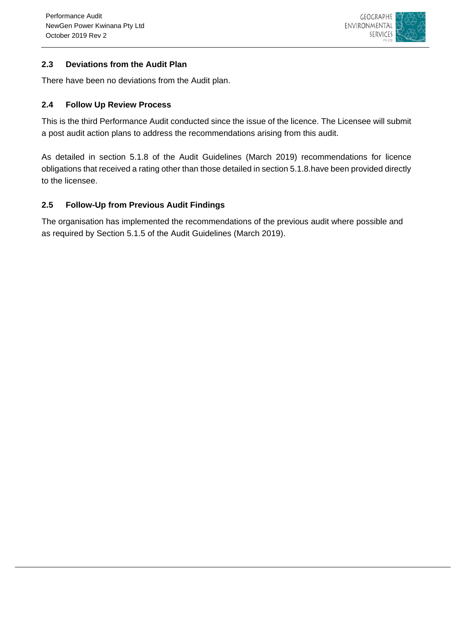

### <span id="page-15-0"></span>**2.3 Deviations from the Audit Plan**

There have been no deviations from the Audit plan.

### <span id="page-15-1"></span>**2.4 Follow Up Review Process**

This is the third Performance Audit conducted since the issue of the licence. The Licensee will submit a post audit action plans to address the recommendations arising from this audit.

As detailed in section 5.1.8 of the Audit Guidelines (March 2019) recommendations for licence obligations that received a rating other than those detailed in section 5.1.8.have been provided directly to the licensee.

### <span id="page-15-2"></span>**2.5 Follow-Up from Previous Audit Findings**

The organisation has implemented the recommendations of the previous audit where possible and as required by Section 5.1.5 of the Audit Guidelines (March 2019).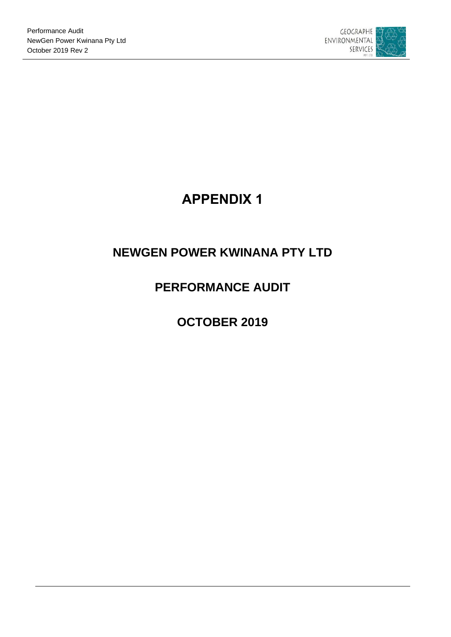

# **APPENDIX 1**

# <span id="page-16-0"></span>**NEWGEN POWER KWINANA PTY LTD**

# **PERFORMANCE AUDIT**

# **OCTOBER 2019**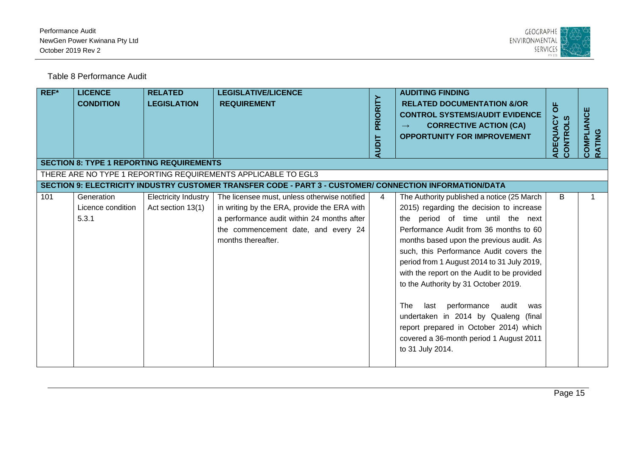

Table 8 Performance Audit

<span id="page-17-0"></span>

| REF* | <b>LICENCE</b><br><b>CONDITION</b>              | <b>RELATED</b><br><b>LEGISLATION</b>             | <b>LEGISLATIVE/LICENCE</b><br><b>REQUIREMENT</b>                                                                                                                                                       | PRIORITY<br><b>AUDIT</b> | <b>AUDITING FINDING</b><br><b>RELATED DOCUMENTATION &amp;/OR</b><br><b>CONTROL SYSTEMS/AUDIT EVIDENCE</b><br><b>CORRECTIVE ACTION (CA)</b><br>$\rightarrow$<br><b>OPPORTUNITY FOR IMPROVEMENT</b>                                                                                                                                                                                                                                                                                                                                                                                                | $\overline{0}$<br>ADEQUACY<br><b>CONTROLS</b> | COMPLIANCE<br>RATING |
|------|-------------------------------------------------|--------------------------------------------------|--------------------------------------------------------------------------------------------------------------------------------------------------------------------------------------------------------|--------------------------|--------------------------------------------------------------------------------------------------------------------------------------------------------------------------------------------------------------------------------------------------------------------------------------------------------------------------------------------------------------------------------------------------------------------------------------------------------------------------------------------------------------------------------------------------------------------------------------------------|-----------------------------------------------|----------------------|
|      | <b>SECTION 8: TYPE 1 REPORTING REQUIREMENTS</b> |                                                  |                                                                                                                                                                                                        |                          |                                                                                                                                                                                                                                                                                                                                                                                                                                                                                                                                                                                                  |                                               |                      |
|      |                                                 |                                                  | THERE ARE NO TYPE 1 REPORTING REQUIREMENTS APPLICABLE TO EGL3<br>SECTION 9: ELECTRICITY INDUSTRY CUSTOMER TRANSFER CODE - PART 3 - CUSTOMER/ CONNECTION INFORMATION/DATA                               |                          |                                                                                                                                                                                                                                                                                                                                                                                                                                                                                                                                                                                                  |                                               |                      |
| 101  | Generation<br>Licence condition<br>5.3.1        | <b>Electricity Industry</b><br>Act section 13(1) | The licensee must, unless otherwise notified<br>in writing by the ERA, provide the ERA with<br>a performance audit within 24 months after<br>the commencement date, and every 24<br>months thereafter. | 4                        | The Authority published a notice (25 March<br>2015) regarding the decision to increase<br>the period of time until the next<br>Performance Audit from 36 months to 60<br>months based upon the previous audit. As<br>such, this Performance Audit covers the<br>period from 1 August 2014 to 31 July 2019,<br>with the report on the Audit to be provided<br>to the Authority by 31 October 2019.<br>The<br>performance<br>audit<br>last<br>was<br>undertaken in 2014 by Qualeng (final<br>report prepared in October 2014) which<br>covered a 36-month period 1 August 2011<br>to 31 July 2014. | B                                             |                      |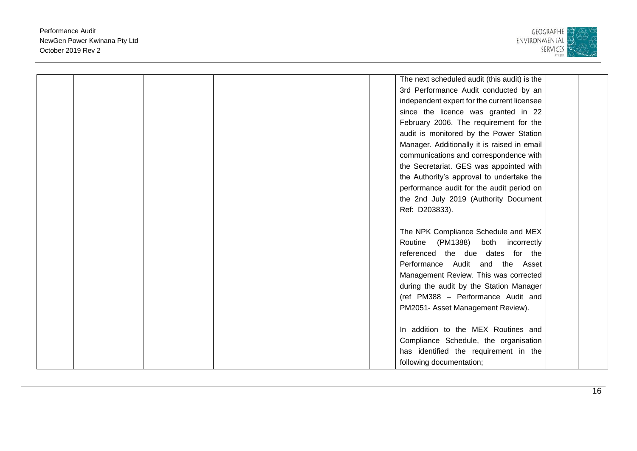

|  |  | The next scheduled audit (this audit) is the |  |
|--|--|----------------------------------------------|--|
|  |  | 3rd Performance Audit conducted by an        |  |
|  |  | independent expert for the current licensee  |  |
|  |  | since the licence was granted in 22          |  |
|  |  | February 2006. The requirement for the       |  |
|  |  | audit is monitored by the Power Station      |  |
|  |  | Manager. Additionally it is raised in email  |  |
|  |  | communications and correspondence with       |  |
|  |  | the Secretariat. GES was appointed with      |  |
|  |  | the Authority's approval to undertake the    |  |
|  |  | performance audit for the audit period on    |  |
|  |  | the 2nd July 2019 (Authority Document        |  |
|  |  | Ref: D203833).                               |  |
|  |  |                                              |  |
|  |  | The NPK Compliance Schedule and MEX          |  |
|  |  | Routine (PM1388) both incorrectly            |  |
|  |  | referenced the due dates for the             |  |
|  |  | Performance Audit and the Asset              |  |
|  |  | Management Review. This was corrected        |  |
|  |  | during the audit by the Station Manager      |  |
|  |  | (ref PM388 - Performance Audit and           |  |
|  |  | PM2051- Asset Management Review).            |  |
|  |  |                                              |  |
|  |  | In addition to the MEX Routines and          |  |
|  |  | Compliance Schedule, the organisation        |  |
|  |  | has identified the requirement in the        |  |
|  |  |                                              |  |
|  |  | following documentation;                     |  |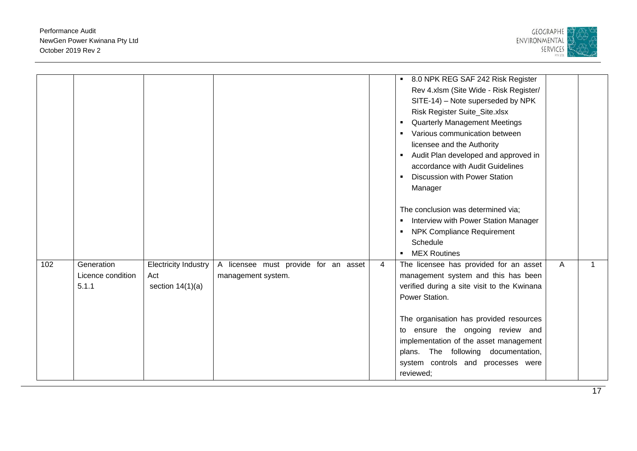

| 102 | Generation                 | <b>Electricity Industry</b> | A licensee must provide for an asset | $\overline{4}$ | 8.0 NPK REG SAF 242 Risk Register<br>Rev 4.xlsm (Site Wide - Risk Register/<br>SITE-14) - Note superseded by NPK<br>Risk Register Suite_Site.xlsx<br><b>Quarterly Management Meetings</b><br>$\blacksquare$<br>Various communication between<br>licensee and the Authority<br>Audit Plan developed and approved in<br>accordance with Audit Guidelines<br><b>Discussion with Power Station</b><br>$\blacksquare$<br>Manager<br>The conclusion was determined via;<br>Interview with Power Station Manager<br>$\blacksquare$<br><b>NPK Compliance Requirement</b><br>Schedule<br>• MEX Routines<br>The licensee has provided for an asset | A |  |
|-----|----------------------------|-----------------------------|--------------------------------------|----------------|------------------------------------------------------------------------------------------------------------------------------------------------------------------------------------------------------------------------------------------------------------------------------------------------------------------------------------------------------------------------------------------------------------------------------------------------------------------------------------------------------------------------------------------------------------------------------------------------------------------------------------------|---|--|
|     | Licence condition<br>5.1.1 | Act<br>section $14(1)(a)$   | management system.                   |                | management system and this has been<br>verified during a site visit to the Kwinana<br>Power Station.<br>The organisation has provided resources<br>to ensure the ongoing review and<br>implementation of the asset management<br>plans. The following documentation,<br>system controls and processes were<br>reviewed;                                                                                                                                                                                                                                                                                                                  |   |  |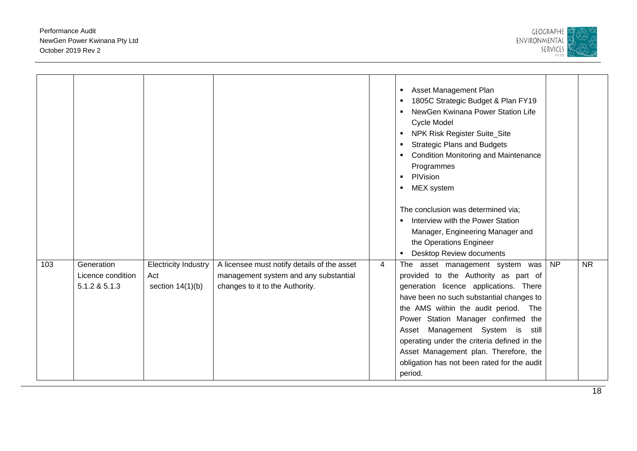

|     |                                                  |                                                          |                                                                                                                         |   | <b>Asset Management Plan</b><br>1805C Strategic Budget & Plan FY19<br>NewGen Kwinana Power Station Life<br>Cycle Model<br>NPK Risk Register Suite_Site<br><b>Strategic Plans and Budgets</b><br><b>Condition Monitoring and Maintenance</b><br>Programmes<br>PIVision<br>$\blacksquare$<br>MEX system<br>$\blacksquare$<br>The conclusion was determined via;<br>Interview with the Power Station<br>Manager, Engineering Manager and<br>the Operations Engineer<br><b>Desktop Review documents</b> |                 |           |
|-----|--------------------------------------------------|----------------------------------------------------------|-------------------------------------------------------------------------------------------------------------------------|---|-----------------------------------------------------------------------------------------------------------------------------------------------------------------------------------------------------------------------------------------------------------------------------------------------------------------------------------------------------------------------------------------------------------------------------------------------------------------------------------------------------|-----------------|-----------|
| 103 | Generation<br>Licence condition<br>5.1.2 & 5.1.3 | <b>Electricity Industry</b><br>Act<br>section $14(1)(b)$ | A licensee must notify details of the asset<br>management system and any substantial<br>changes to it to the Authority. | 4 | The asset management system was<br>provided to the Authority as part of<br>generation licence applications. There<br>have been no such substantial changes to<br>the AMS within the audit period. The<br>Power Station Manager confirmed the<br>Asset Management System is<br>still<br>operating under the criteria defined in the<br>Asset Management plan. Therefore, the<br>obligation has not been rated for the audit<br>period.                                                               | $\overline{NP}$ | <b>NR</b> |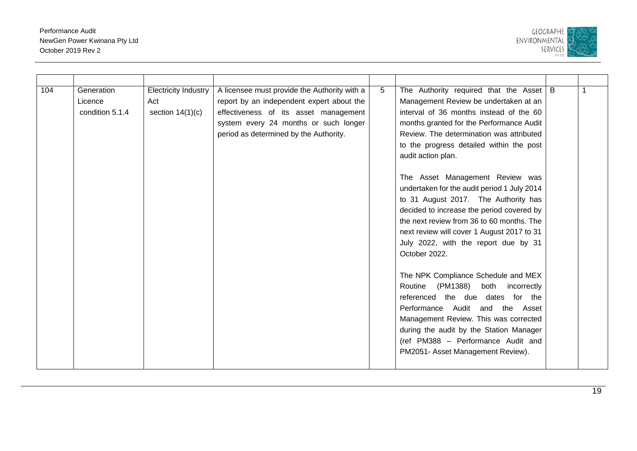

| 104 | Generation<br>Licence<br>condition 5.1.4 | <b>Electricity Industry</b><br>Act<br>section $14(1)(c)$ | A licensee must provide the Authority with a<br>report by an independent expert about the<br>effectiveness of its asset management<br>system every 24 months or such longer<br>period as determined by the Authority. | 5 | The Authority required that the Asset $\mid$ B<br>Management Review be undertaken at an<br>interval of 36 months instead of the 60<br>months granted for the Performance Audit<br>Review. The determination was attributed<br>to the progress detailed within the post<br>audit action plan.<br>The Asset Management Review was<br>undertaken for the audit period 1 July 2014<br>to 31 August 2017. The Authority has<br>decided to increase the period covered by<br>the next review from 36 to 60 months. The<br>next review will cover 1 August 2017 to 31<br>July 2022, with the report due by 31<br>October 2022.<br>The NPK Compliance Schedule and MEX<br>Routine (PM1388)<br>both incorrectly<br>referenced the due dates for the<br>Performance Audit and the Asset<br>Management Review. This was corrected<br>during the audit by the Station Manager<br>(ref PM388 - Performance Audit and<br>PM2051- Asset Management Review). |  |
|-----|------------------------------------------|----------------------------------------------------------|-----------------------------------------------------------------------------------------------------------------------------------------------------------------------------------------------------------------------|---|----------------------------------------------------------------------------------------------------------------------------------------------------------------------------------------------------------------------------------------------------------------------------------------------------------------------------------------------------------------------------------------------------------------------------------------------------------------------------------------------------------------------------------------------------------------------------------------------------------------------------------------------------------------------------------------------------------------------------------------------------------------------------------------------------------------------------------------------------------------------------------------------------------------------------------------------|--|
|     |                                          |                                                          |                                                                                                                                                                                                                       |   |                                                                                                                                                                                                                                                                                                                                                                                                                                                                                                                                                                                                                                                                                                                                                                                                                                                                                                                                              |  |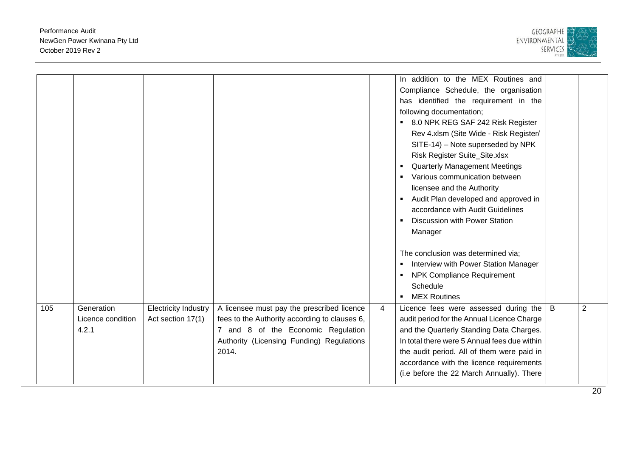

|     |                   |                             |                                               |   | In addition to the MEX Routines and          |   |   |
|-----|-------------------|-----------------------------|-----------------------------------------------|---|----------------------------------------------|---|---|
|     |                   |                             |                                               |   | Compliance Schedule, the organisation        |   |   |
|     |                   |                             |                                               |   | has identified the requirement in the        |   |   |
|     |                   |                             |                                               |   | following documentation;                     |   |   |
|     |                   |                             |                                               |   | ■ 8.0 NPK REG SAF 242 Risk Register          |   |   |
|     |                   |                             |                                               |   | Rev 4.xlsm (Site Wide - Risk Register/       |   |   |
|     |                   |                             |                                               |   | SITE-14) – Note superseded by NPK            |   |   |
|     |                   |                             |                                               |   | Risk Register Suite_Site.xlsx                |   |   |
|     |                   |                             |                                               |   | <b>Quarterly Management Meetings</b>         |   |   |
|     |                   |                             |                                               |   | Various communication between                |   |   |
|     |                   |                             |                                               |   | licensee and the Authority                   |   |   |
|     |                   |                             |                                               |   | • Audit Plan developed and approved in       |   |   |
|     |                   |                             |                                               |   | accordance with Audit Guidelines             |   |   |
|     |                   |                             |                                               |   | <b>Discussion with Power Station</b>         |   |   |
|     |                   |                             |                                               |   | Manager                                      |   |   |
|     |                   |                             |                                               |   |                                              |   |   |
|     |                   |                             |                                               |   | The conclusion was determined via;           |   |   |
|     |                   |                             |                                               |   | Interview with Power Station Manager         |   |   |
|     |                   |                             |                                               |   | • NPK Compliance Requirement                 |   |   |
|     |                   |                             |                                               |   | Schedule                                     |   |   |
|     |                   |                             |                                               |   | • MEX Routines                               |   |   |
| 105 | Generation        | <b>Electricity Industry</b> | A licensee must pay the prescribed licence    | 4 | Licence fees were assessed during the        | B | 2 |
|     | Licence condition | Act section 17(1)           | fees to the Authority according to clauses 6, |   | audit period for the Annual Licence Charge   |   |   |
|     | 4.2.1             |                             | 7 and 8 of the Economic Regulation            |   | and the Quarterly Standing Data Charges.     |   |   |
|     |                   |                             | Authority (Licensing Funding) Regulations     |   | In total there were 5 Annual fees due within |   |   |
|     |                   |                             | 2014.                                         |   | the audit period. All of them were paid in   |   |   |
|     |                   |                             |                                               |   | accordance with the licence requirements     |   |   |
|     |                   |                             |                                               |   | (i.e before the 22 March Annually). There    |   |   |
|     |                   |                             |                                               |   |                                              |   |   |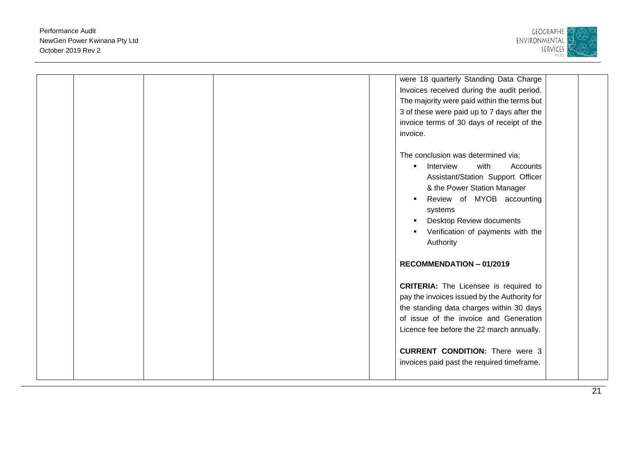

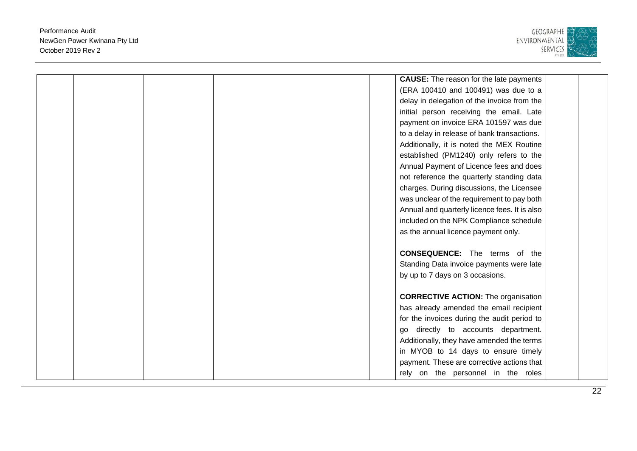

|  |  | <b>CAUSE:</b> The reason for the late payments |  |
|--|--|------------------------------------------------|--|
|  |  | (ERA 100410 and 100491) was due to a           |  |
|  |  | delay in delegation of the invoice from the    |  |
|  |  | initial person receiving the email. Late       |  |
|  |  | payment on invoice ERA 101597 was due          |  |
|  |  | to a delay in release of bank transactions.    |  |
|  |  | Additionally, it is noted the MEX Routine      |  |
|  |  | established (PM1240) only refers to the        |  |
|  |  | Annual Payment of Licence fees and does        |  |
|  |  | not reference the quarterly standing data      |  |
|  |  | charges. During discussions, the Licensee      |  |
|  |  | was unclear of the requirement to pay both     |  |
|  |  | Annual and quarterly licence fees. It is also  |  |
|  |  | included on the NPK Compliance schedule        |  |
|  |  | as the annual licence payment only.            |  |
|  |  |                                                |  |
|  |  | <b>CONSEQUENCE:</b> The terms of the           |  |
|  |  | Standing Data invoice payments were late       |  |
|  |  | by up to 7 days on 3 occasions.                |  |
|  |  |                                                |  |
|  |  | <b>CORRECTIVE ACTION:</b> The organisation     |  |
|  |  | has already amended the email recipient        |  |
|  |  | for the invoices during the audit period to    |  |
|  |  | go directly to accounts department.            |  |
|  |  | Additionally, they have amended the terms      |  |
|  |  | in MYOB to 14 days to ensure timely            |  |
|  |  | payment. These are corrective actions that     |  |
|  |  | rely on the personnel in the roles             |  |
|  |  |                                                |  |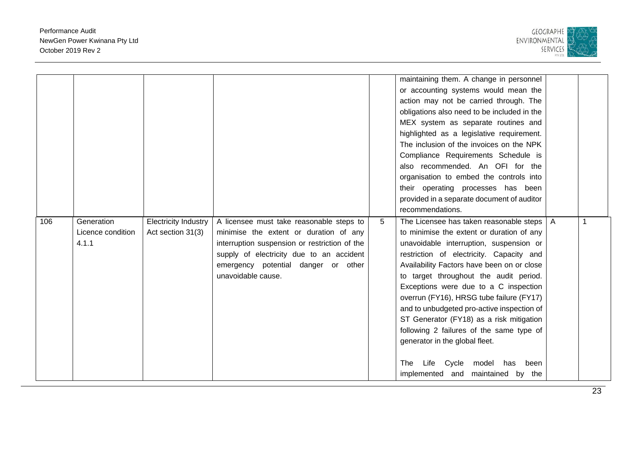

| 106 | Generation<br>Licence condition<br>4.1.1 | <b>Electricity Industry</b><br>Act section 31(3) | A licensee must take reasonable steps to<br>minimise the extent or duration of any<br>interruption suspension or restriction of the<br>supply of electricity due to an accident<br>emergency potential danger or other<br>unavoidable cause. | 5 | maintaining them. A change in personnel<br>or accounting systems would mean the<br>action may not be carried through. The<br>obligations also need to be included in the<br>MEX system as separate routines and<br>highlighted as a legislative requirement.<br>The inclusion of the invoices on the NPK<br>Compliance Requirements Schedule is<br>also recommended. An OFI for the<br>organisation to embed the controls into<br>their operating processes has been<br>provided in a separate document of auditor<br>recommendations.<br>The Licensee has taken reasonable steps<br>to minimise the extent or duration of any<br>unavoidable interruption, suspension or<br>restriction of electricity. Capacity and<br>Availability Factors have been on or close<br>to target throughout the audit period.<br>Exceptions were due to a C inspection<br>overrun (FY16), HRSG tube failure (FY17)<br>and to unbudgeted pro-active inspection of<br>ST Generator (FY18) as a risk mitigation<br>following 2 failures of the same type of<br>generator in the global fleet. | A |  |
|-----|------------------------------------------|--------------------------------------------------|----------------------------------------------------------------------------------------------------------------------------------------------------------------------------------------------------------------------------------------------|---|----------------------------------------------------------------------------------------------------------------------------------------------------------------------------------------------------------------------------------------------------------------------------------------------------------------------------------------------------------------------------------------------------------------------------------------------------------------------------------------------------------------------------------------------------------------------------------------------------------------------------------------------------------------------------------------------------------------------------------------------------------------------------------------------------------------------------------------------------------------------------------------------------------------------------------------------------------------------------------------------------------------------------------------------------------------------------|---|--|
|     |                                          |                                                  |                                                                                                                                                                                                                                              |   | The<br>Life Cycle model has been<br>implemented and maintained by the                                                                                                                                                                                                                                                                                                                                                                                                                                                                                                                                                                                                                                                                                                                                                                                                                                                                                                                                                                                                      |   |  |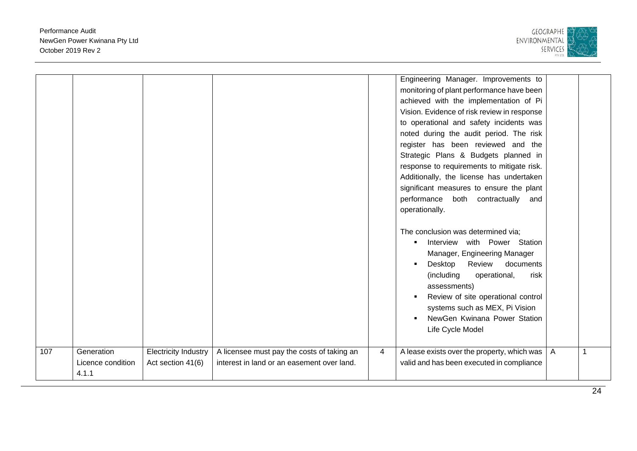

|     |                   |                             |                                            |   | Engineering Manager. Improvements to             |                |  |
|-----|-------------------|-----------------------------|--------------------------------------------|---|--------------------------------------------------|----------------|--|
|     |                   |                             |                                            |   | monitoring of plant performance have been        |                |  |
|     |                   |                             |                                            |   | achieved with the implementation of Pi           |                |  |
|     |                   |                             |                                            |   | Vision. Evidence of risk review in response      |                |  |
|     |                   |                             |                                            |   | to operational and safety incidents was          |                |  |
|     |                   |                             |                                            |   | noted during the audit period. The risk          |                |  |
|     |                   |                             |                                            |   | register has been reviewed and the               |                |  |
|     |                   |                             |                                            |   | Strategic Plans & Budgets planned in             |                |  |
|     |                   |                             |                                            |   | response to requirements to mitigate risk.       |                |  |
|     |                   |                             |                                            |   | Additionally, the license has undertaken         |                |  |
|     |                   |                             |                                            |   | significant measures to ensure the plant         |                |  |
|     |                   |                             |                                            |   | performance both contractually and               |                |  |
|     |                   |                             |                                            |   | operationally.                                   |                |  |
|     |                   |                             |                                            |   |                                                  |                |  |
|     |                   |                             |                                            |   | The conclusion was determined via;               |                |  |
|     |                   |                             |                                            |   | Interview with Power Station                     |                |  |
|     |                   |                             |                                            |   | Manager, Engineering Manager                     |                |  |
|     |                   |                             |                                            |   | Review<br>Desktop<br>documents<br>$\blacksquare$ |                |  |
|     |                   |                             |                                            |   | (including<br>operational,<br>risk               |                |  |
|     |                   |                             |                                            |   | assessments)                                     |                |  |
|     |                   |                             |                                            |   | Review of site operational control               |                |  |
|     |                   |                             |                                            |   | systems such as MEX, Pi Vision                   |                |  |
|     |                   |                             |                                            |   | NewGen Kwinana Power Station                     |                |  |
|     |                   |                             |                                            |   | Life Cycle Model                                 |                |  |
|     |                   |                             |                                            |   |                                                  |                |  |
| 107 | Generation        | <b>Electricity Industry</b> | A licensee must pay the costs of taking an | 4 | A lease exists over the property, which was      | $\overline{A}$ |  |
|     | Licence condition | Act section 41(6)           | interest in land or an easement over land. |   | valid and has been executed in compliance        |                |  |
|     | 4.1.1             |                             |                                            |   |                                                  |                |  |
|     |                   |                             |                                            |   |                                                  |                |  |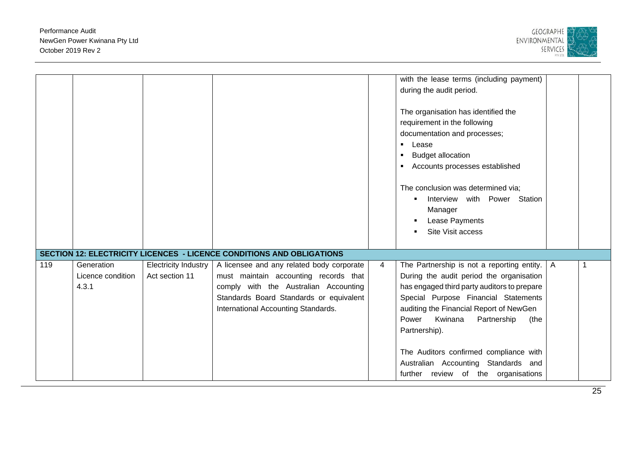

|     |                   |                             |                                                                              |   | with the lease terms (including payment)          |              |   |
|-----|-------------------|-----------------------------|------------------------------------------------------------------------------|---|---------------------------------------------------|--------------|---|
|     |                   |                             |                                                                              |   | during the audit period.                          |              |   |
|     |                   |                             |                                                                              |   |                                                   |              |   |
|     |                   |                             |                                                                              |   | The organisation has identified the               |              |   |
|     |                   |                             |                                                                              |   | requirement in the following                      |              |   |
|     |                   |                             |                                                                              |   | documentation and processes;                      |              |   |
|     |                   |                             |                                                                              |   | $\blacksquare$                                    |              |   |
|     |                   |                             |                                                                              |   | Lease                                             |              |   |
|     |                   |                             |                                                                              |   | <b>Budget allocation</b><br>$\blacksquare$        |              |   |
|     |                   |                             |                                                                              |   | Accounts processes established                    |              |   |
|     |                   |                             |                                                                              |   |                                                   |              |   |
|     |                   |                             |                                                                              |   | The conclusion was determined via;                |              |   |
|     |                   |                             |                                                                              |   | with Power Station<br>Interview<br>$\blacksquare$ |              |   |
|     |                   |                             |                                                                              |   | Manager                                           |              |   |
|     |                   |                             |                                                                              |   | Lease Payments                                    |              |   |
|     |                   |                             |                                                                              |   | Site Visit access<br>$\blacksquare$               |              |   |
|     |                   |                             |                                                                              |   |                                                   |              |   |
|     |                   |                             |                                                                              |   |                                                   |              |   |
|     |                   |                             | <b>SECTION 12: ELECTRICITY LICENCES - LICENCE CONDITIONS AND OBLIGATIONS</b> |   |                                                   |              |   |
| 119 | Generation        | <b>Electricity Industry</b> | A licensee and any related body corporate                                    | 4 | The Partnership is not a reporting entity.        | $\mathsf{A}$ | 1 |
|     | Licence condition | Act section 11              | must maintain accounting records that                                        |   | During the audit period the organisation          |              |   |
|     | 4.3.1             |                             | comply with the Australian Accounting                                        |   | has engaged third party auditors to prepare       |              |   |
|     |                   |                             | Standards Board Standards or equivalent                                      |   | Special Purpose Financial Statements              |              |   |
|     |                   |                             | International Accounting Standards.                                          |   | auditing the Financial Report of NewGen           |              |   |
|     |                   |                             |                                                                              |   | Kwinana<br>Power<br>Partnership<br>(the           |              |   |
|     |                   |                             |                                                                              |   | Partnership).                                     |              |   |
|     |                   |                             |                                                                              |   |                                                   |              |   |
|     |                   |                             |                                                                              |   |                                                   |              |   |
|     |                   |                             |                                                                              |   | The Auditors confirmed compliance with            |              |   |
|     |                   |                             |                                                                              |   | Australian Accounting Standards and               |              |   |
|     |                   |                             |                                                                              |   | further review of the organisations               |              |   |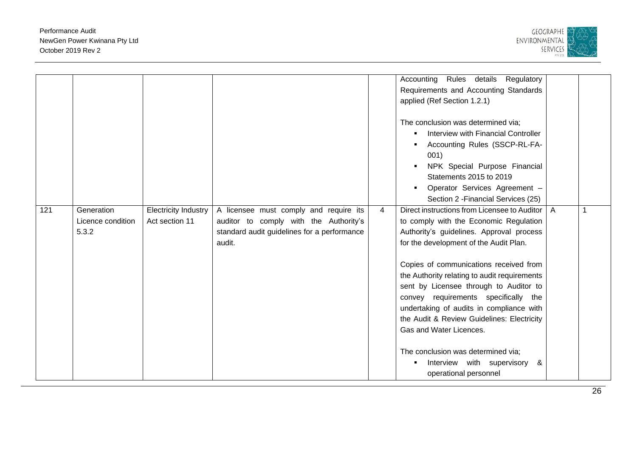

|     |                   |                      |                                             |                | Accounting Rules details Regulatory                   |                |  |
|-----|-------------------|----------------------|---------------------------------------------|----------------|-------------------------------------------------------|----------------|--|
|     |                   |                      |                                             |                | Requirements and Accounting Standards                 |                |  |
|     |                   |                      |                                             |                | applied (Ref Section 1.2.1)                           |                |  |
|     |                   |                      |                                             |                |                                                       |                |  |
|     |                   |                      |                                             |                | The conclusion was determined via;                    |                |  |
|     |                   |                      |                                             |                | Interview with Financial Controller<br>$\blacksquare$ |                |  |
|     |                   |                      |                                             |                | Accounting Rules (SSCP-RL-FA-                         |                |  |
|     |                   |                      |                                             |                | 001)                                                  |                |  |
|     |                   |                      |                                             |                | NPK Special Purpose Financial                         |                |  |
|     |                   |                      |                                             |                | Statements 2015 to 2019                               |                |  |
|     |                   |                      |                                             |                | Operator Services Agreement -                         |                |  |
|     |                   |                      |                                             |                | Section 2 - Financial Services (25)                   |                |  |
| 121 | Generation        | Electricity Industry | A licensee must comply and require its      | $\overline{4}$ | Direct instructions from Licensee to Auditor          | $\overline{A}$ |  |
|     | Licence condition | Act section 11       | auditor to comply with the Authority's      |                | to comply with the Economic Regulation                |                |  |
|     | 5.3.2             |                      | standard audit guidelines for a performance |                | Authority's guidelines. Approval process              |                |  |
|     |                   |                      | audit.                                      |                | for the development of the Audit Plan.                |                |  |
|     |                   |                      |                                             |                |                                                       |                |  |
|     |                   |                      |                                             |                | Copies of communications received from                |                |  |
|     |                   |                      |                                             |                | the Authority relating to audit requirements          |                |  |
|     |                   |                      |                                             |                | sent by Licensee through to Auditor to                |                |  |
|     |                   |                      |                                             |                | convey requirements specifically the                  |                |  |
|     |                   |                      |                                             |                | undertaking of audits in compliance with              |                |  |
|     |                   |                      |                                             |                | the Audit & Review Guidelines: Electricity            |                |  |
|     |                   |                      |                                             |                | Gas and Water Licences.                               |                |  |
|     |                   |                      |                                             |                |                                                       |                |  |
|     |                   |                      |                                             |                | The conclusion was determined via;                    |                |  |
|     |                   |                      |                                             |                | Interview with supervisory<br>&                       |                |  |
|     |                   |                      |                                             |                | operational personnel                                 |                |  |
|     |                   |                      |                                             |                |                                                       |                |  |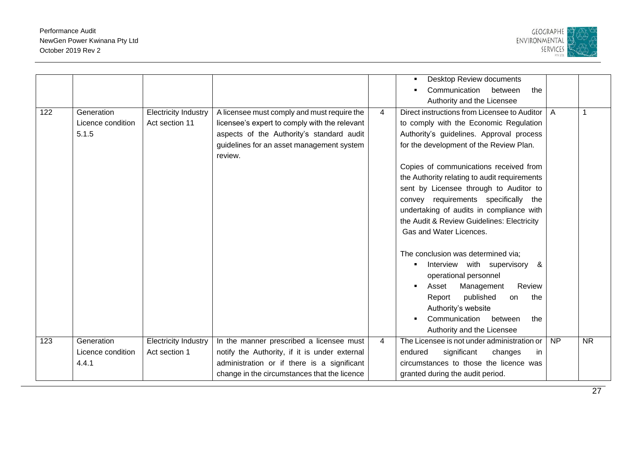

|     |                                          |                                               |                                                                                                                                                                                                   |   | Desktop Review documents<br>Communication<br>between<br>the                                                                                                                                                                                                                                   |    |                        |
|-----|------------------------------------------|-----------------------------------------------|---------------------------------------------------------------------------------------------------------------------------------------------------------------------------------------------------|---|-----------------------------------------------------------------------------------------------------------------------------------------------------------------------------------------------------------------------------------------------------------------------------------------------|----|------------------------|
| 122 | Generation<br>Licence condition<br>5.1.5 | <b>Electricity Industry</b><br>Act section 11 | A licensee must comply and must require the<br>licensee's expert to comply with the relevant<br>aspects of the Authority's standard audit<br>guidelines for an asset management system<br>review. | 4 | Authority and the Licensee<br>Direct instructions from Licensee to Auditor<br>to comply with the Economic Regulation<br>Authority's guidelines. Approval process<br>for the development of the Review Plan.                                                                                   | A  |                        |
|     |                                          |                                               |                                                                                                                                                                                                   |   | Copies of communications received from<br>the Authority relating to audit requirements<br>sent by Licensee through to Auditor to<br>convey requirements specifically the<br>undertaking of audits in compliance with<br>the Audit & Review Guidelines: Electricity<br>Gas and Water Licences. |    |                        |
|     |                                          |                                               |                                                                                                                                                                                                   |   | The conclusion was determined via;<br>Interview with supervisory &<br>operational personnel<br>Review<br>Asset<br>Management<br>Report<br>published<br>the<br>on<br>Authority's website<br>Communication<br>between<br>the<br>Authority and the Licensee                                      |    |                        |
| 123 | Generation<br>Licence condition<br>4.4.1 | <b>Electricity Industry</b><br>Act section 1  | In the manner prescribed a licensee must<br>notify the Authority, if it is under external<br>administration or if there is a significant<br>change in the circumstances that the licence          | 4 | The Licensee is not under administration or<br>significant<br>endured<br>changes<br>in.<br>circumstances to those the licence was<br>granted during the audit period.                                                                                                                         | NP | $\overline{\text{NR}}$ |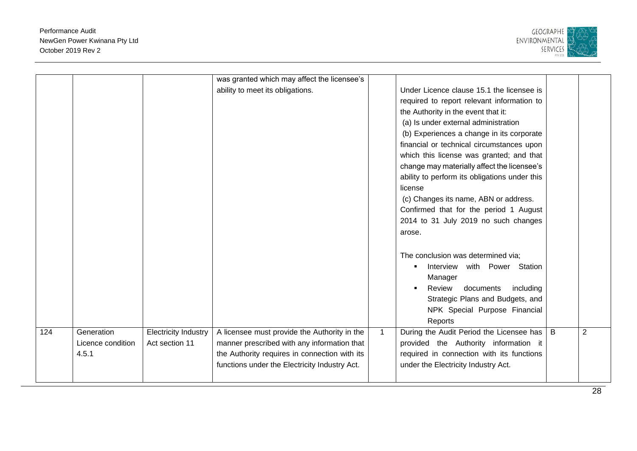

|     |                   |                             | was granted which may affect the licensee's   |              |                                               |   |   |
|-----|-------------------|-----------------------------|-----------------------------------------------|--------------|-----------------------------------------------|---|---|
|     |                   |                             | ability to meet its obligations.              |              | Under Licence clause 15.1 the licensee is     |   |   |
|     |                   |                             |                                               |              | required to report relevant information to    |   |   |
|     |                   |                             |                                               |              | the Authority in the event that it:           |   |   |
|     |                   |                             |                                               |              | (a) Is under external administration          |   |   |
|     |                   |                             |                                               |              | (b) Experiences a change in its corporate     |   |   |
|     |                   |                             |                                               |              | financial or technical circumstances upon     |   |   |
|     |                   |                             |                                               |              | which this license was granted; and that      |   |   |
|     |                   |                             |                                               |              | change may materially affect the licensee's   |   |   |
|     |                   |                             |                                               |              | ability to perform its obligations under this |   |   |
|     |                   |                             |                                               |              | license                                       |   |   |
|     |                   |                             |                                               |              | (c) Changes its name, ABN or address.         |   |   |
|     |                   |                             |                                               |              | Confirmed that for the period 1 August        |   |   |
|     |                   |                             |                                               |              | 2014 to 31 July 2019 no such changes          |   |   |
|     |                   |                             |                                               |              | arose.                                        |   |   |
|     |                   |                             |                                               |              |                                               |   |   |
|     |                   |                             |                                               |              |                                               |   |   |
|     |                   |                             |                                               |              | The conclusion was determined via;            |   |   |
|     |                   |                             |                                               |              | Interview with Power Station<br>٠             |   |   |
|     |                   |                             |                                               |              | Manager                                       |   |   |
|     |                   |                             |                                               |              | Review<br>documents<br>including              |   |   |
|     |                   |                             |                                               |              | Strategic Plans and Budgets, and              |   |   |
|     |                   |                             |                                               |              | NPK Special Purpose Financial                 |   |   |
|     |                   |                             |                                               |              | Reports                                       |   |   |
| 124 | Generation        | <b>Electricity Industry</b> | A licensee must provide the Authority in the  | $\mathbf{1}$ | During the Audit Period the Licensee has      | B | 2 |
|     | Licence condition | Act section 11              | manner prescribed with any information that   |              | provided the Authority information it         |   |   |
|     | 4.5.1             |                             | the Authority requires in connection with its |              | required in connection with its functions     |   |   |
|     |                   |                             | functions under the Electricity Industry Act. |              | under the Electricity Industry Act.           |   |   |
|     |                   |                             |                                               |              |                                               |   |   |
|     |                   |                             |                                               |              |                                               |   |   |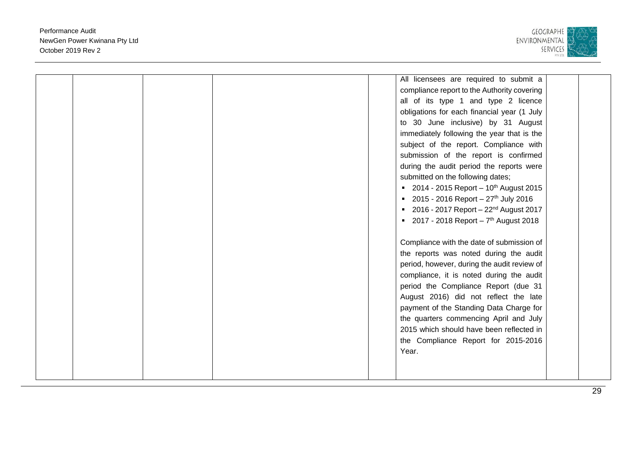

|  |  |  | All licensees are required to submit a              |  |
|--|--|--|-----------------------------------------------------|--|
|  |  |  | compliance report to the Authority covering         |  |
|  |  |  | all of its type 1 and type 2 licence                |  |
|  |  |  | obligations for each financial year (1 July         |  |
|  |  |  | to 30 June inclusive) by 31 August                  |  |
|  |  |  | immediately following the year that is the          |  |
|  |  |  | subject of the report. Compliance with              |  |
|  |  |  | submission of the report is confirmed               |  |
|  |  |  | during the audit period the reports were            |  |
|  |  |  | submitted on the following dates;                   |  |
|  |  |  | ■ 2014 - 2015 Report – 10 <sup>th</sup> August 2015 |  |
|  |  |  | 2015 - 2016 Report - $27th$ July 2016               |  |
|  |  |  | ■ 2016 - 2017 Report - 22 <sup>nd</sup> August 2017 |  |
|  |  |  | ■ 2017 - 2018 Report - $7th$ August 2018            |  |
|  |  |  |                                                     |  |
|  |  |  | Compliance with the date of submission of           |  |
|  |  |  | the reports was noted during the audit              |  |
|  |  |  | period, however, during the audit review of         |  |
|  |  |  | compliance, it is noted during the audit            |  |
|  |  |  | period the Compliance Report (due 31                |  |
|  |  |  | August 2016) did not reflect the late               |  |
|  |  |  | payment of the Standing Data Charge for             |  |
|  |  |  | the quarters commencing April and July              |  |
|  |  |  | 2015 which should have been reflected in            |  |
|  |  |  | the Compliance Report for 2015-2016                 |  |
|  |  |  | Year.                                               |  |
|  |  |  |                                                     |  |
|  |  |  |                                                     |  |
|  |  |  |                                                     |  |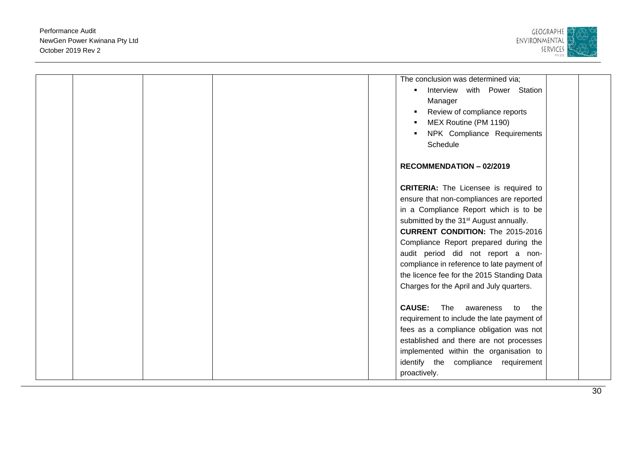

|  | The conclusion was determined via;<br>Interview with Power Station<br>Manager<br>Review of compliance reports<br>MEX Routine (PM 1190)<br>NPK Compliance Requirements<br>Schedule                                                                                                                                                                                                                                                                         |
|--|-----------------------------------------------------------------------------------------------------------------------------------------------------------------------------------------------------------------------------------------------------------------------------------------------------------------------------------------------------------------------------------------------------------------------------------------------------------|
|  | <b>RECOMMENDATION - 02/2019</b>                                                                                                                                                                                                                                                                                                                                                                                                                           |
|  | <b>CRITERIA:</b> The Licensee is required to<br>ensure that non-compliances are reported<br>in a Compliance Report which is to be<br>submitted by the 31 <sup>st</sup> August annually.<br><b>CURRENT CONDITION:</b> The 2015-2016<br>Compliance Report prepared during the<br>audit period did not report a non-<br>compliance in reference to late payment of<br>the licence fee for the 2015 Standing Data<br>Charges for the April and July quarters. |
|  | <b>CAUSE:</b><br>The<br>awareness to<br>the<br>requirement to include the late payment of<br>fees as a compliance obligation was not<br>established and there are not processes<br>implemented within the organisation to<br>identify the compliance<br>requirement<br>proactively.                                                                                                                                                                       |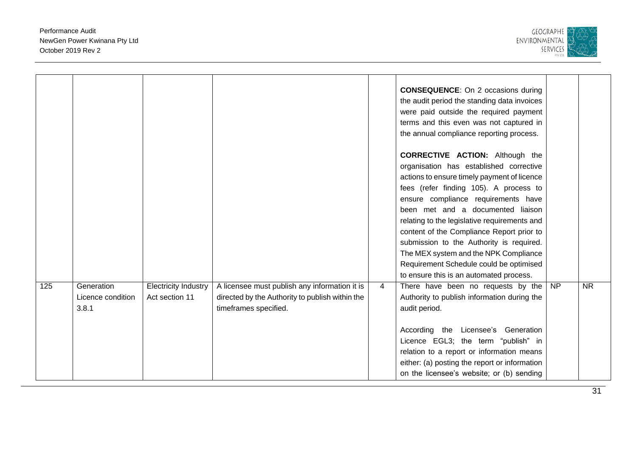

|     |                                          |                                               |                                                                                                                           |   | <b>CONSEQUENCE:</b> On 2 occasions during<br>the audit period the standing data invoices<br>were paid outside the required payment<br>terms and this even was not captured in<br>the annual compliance reporting process.                                                                                                                                                                                                                                                                                                      |                 |                        |
|-----|------------------------------------------|-----------------------------------------------|---------------------------------------------------------------------------------------------------------------------------|---|--------------------------------------------------------------------------------------------------------------------------------------------------------------------------------------------------------------------------------------------------------------------------------------------------------------------------------------------------------------------------------------------------------------------------------------------------------------------------------------------------------------------------------|-----------------|------------------------|
|     |                                          |                                               |                                                                                                                           |   | <b>CORRECTIVE ACTION:</b> Although the<br>organisation has established corrective<br>actions to ensure timely payment of licence<br>fees (refer finding 105). A process to<br>ensure compliance requirements have<br>been met and a documented liaison<br>relating to the legislative requirements and<br>content of the Compliance Report prior to<br>submission to the Authority is required.<br>The MEX system and the NPK Compliance<br>Requirement Schedule could be optimised<br>to ensure this is an automated process. |                 |                        |
| 125 | Generation<br>Licence condition<br>3.8.1 | <b>Electricity Industry</b><br>Act section 11 | A licensee must publish any information it is<br>directed by the Authority to publish within the<br>timeframes specified. | 4 | There have been no requests by the<br>Authority to publish information during the<br>audit period.<br>According the Licensee's Generation<br>Licence EGL3; the term "publish" in<br>relation to a report or information means<br>either: (a) posting the report or information<br>on the licensee's website; or (b) sending                                                                                                                                                                                                    | $\overline{NP}$ | $\overline{\text{NR}}$ |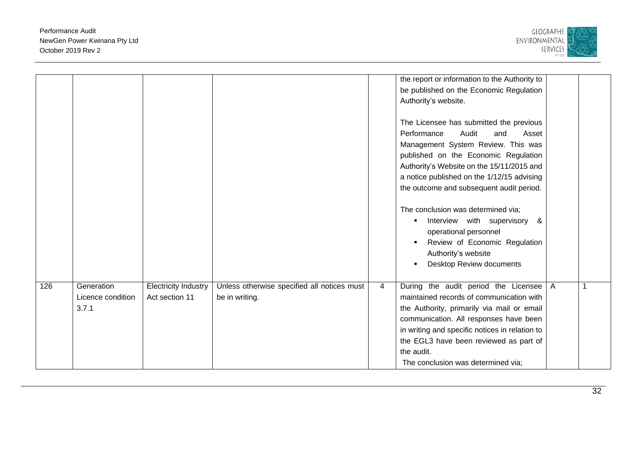

|     |                   |                             |                                             |                | the report or information to the Authority to  |   |  |
|-----|-------------------|-----------------------------|---------------------------------------------|----------------|------------------------------------------------|---|--|
|     |                   |                             |                                             |                | be published on the Economic Regulation        |   |  |
|     |                   |                             |                                             |                | Authority's website.                           |   |  |
|     |                   |                             |                                             |                |                                                |   |  |
|     |                   |                             |                                             |                | The Licensee has submitted the previous        |   |  |
|     |                   |                             |                                             |                | Performance<br>Audit<br>and<br>Asset           |   |  |
|     |                   |                             |                                             |                | Management System Review. This was             |   |  |
|     |                   |                             |                                             |                | published on the Economic Regulation           |   |  |
|     |                   |                             |                                             |                | Authority's Website on the 15/11/2015 and      |   |  |
|     |                   |                             |                                             |                | a notice published on the 1/12/15 advising     |   |  |
|     |                   |                             |                                             |                | the outcome and subsequent audit period.       |   |  |
|     |                   |                             |                                             |                |                                                |   |  |
|     |                   |                             |                                             |                | The conclusion was determined via;             |   |  |
|     |                   |                             |                                             |                | Interview with supervisory &<br>$\blacksquare$ |   |  |
|     |                   |                             |                                             |                | operational personnel                          |   |  |
|     |                   |                             |                                             |                | Review of Economic Regulation                  |   |  |
|     |                   |                             |                                             |                | Authority's website                            |   |  |
|     |                   |                             |                                             |                | Desktop Review documents                       |   |  |
|     |                   |                             |                                             |                |                                                |   |  |
| 126 | Generation        | <b>Electricity Industry</b> | Unless otherwise specified all notices must | $\overline{4}$ | During the audit period the Licensee           | A |  |
|     | Licence condition | Act section 11              | be in writing.                              |                | maintained records of communication with       |   |  |
|     | 3.7.1             |                             |                                             |                | the Authority, primarily via mail or email     |   |  |
|     |                   |                             |                                             |                | communication. All responses have been         |   |  |
|     |                   |                             |                                             |                | in writing and specific notices in relation to |   |  |
|     |                   |                             |                                             |                | the EGL3 have been reviewed as part of         |   |  |
|     |                   |                             |                                             |                | the audit.                                     |   |  |
|     |                   |                             |                                             |                | The conclusion was determined via;             |   |  |
|     |                   |                             |                                             |                |                                                |   |  |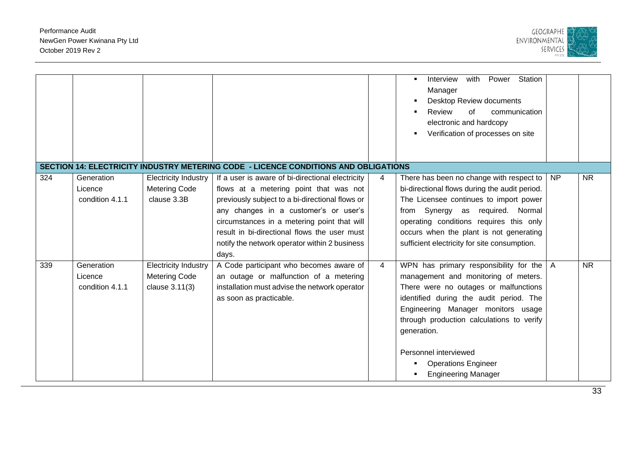

|     |                                          |                                                                       |                                                                                                                                                                                                                                                                                                                                                 |   | with<br>Station<br>Interview<br>Power<br>Manager<br>Desktop Review documents<br>Review<br>of<br>communication<br>electronic and hardcopy<br>Verification of processes on site                                                                                                                                                                             |                |           |
|-----|------------------------------------------|-----------------------------------------------------------------------|-------------------------------------------------------------------------------------------------------------------------------------------------------------------------------------------------------------------------------------------------------------------------------------------------------------------------------------------------|---|-----------------------------------------------------------------------------------------------------------------------------------------------------------------------------------------------------------------------------------------------------------------------------------------------------------------------------------------------------------|----------------|-----------|
|     |                                          |                                                                       | SECTION 14: ELECTRICITY INDUSTRY METERING CODE - LICENCE CONDITIONS AND OBLIGATIONS                                                                                                                                                                                                                                                             |   |                                                                                                                                                                                                                                                                                                                                                           |                |           |
| 324 | Generation<br>Licence<br>condition 4.1.1 | Electricity Industry<br><b>Metering Code</b><br>clause 3.3B           | If a user is aware of bi-directional electricity<br>flows at a metering point that was not<br>previously subject to a bi-directional flows or<br>any changes in a customer's or user's<br>circumstances in a metering point that will<br>result in bi-directional flows the user must<br>notify the network operator within 2 business<br>days. | 4 | There has been no change with respect to<br>bi-directional flows during the audit period.<br>The Licensee continues to import power<br>from Synergy as required. Normal<br>operating conditions requires this only<br>occurs when the plant is not generating<br>sufficient electricity for site consumption.                                             | <b>NP</b>      | <b>NR</b> |
| 339 | Generation<br>Licence<br>condition 4.1.1 | <b>Electricity Industry</b><br><b>Metering Code</b><br>clause 3.11(3) | A Code participant who becomes aware of<br>an outage or malfunction of a metering<br>installation must advise the network operator<br>as soon as practicable.                                                                                                                                                                                   | 4 | WPN has primary responsibility for the<br>management and monitoring of meters.<br>There were no outages or malfunctions<br>identified during the audit period. The<br>Engineering Manager monitors usage<br>through production calculations to verify<br>generation.<br>Personnel interviewed<br><b>Operations Engineer</b><br><b>Engineering Manager</b> | $\overline{A}$ | <b>NR</b> |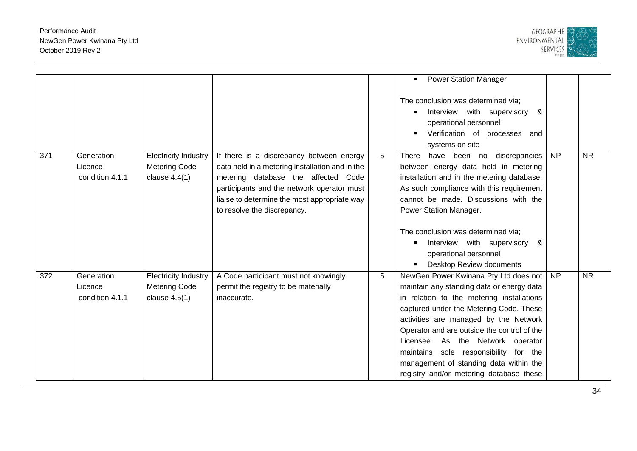

|     |                                          |                                                                        |                                                                                                                                                                                                                                                                 |   | <b>Power Station Manager</b><br>$\blacksquare$<br>The conclusion was determined via;<br>Interview with supervisory<br>&<br>operational personnel<br>Verification of processes and<br>systems on site                                                                                                                                                                                                                                  |                 |           |
|-----|------------------------------------------|------------------------------------------------------------------------|-----------------------------------------------------------------------------------------------------------------------------------------------------------------------------------------------------------------------------------------------------------------|---|---------------------------------------------------------------------------------------------------------------------------------------------------------------------------------------------------------------------------------------------------------------------------------------------------------------------------------------------------------------------------------------------------------------------------------------|-----------------|-----------|
| 371 | Generation<br>Licence<br>condition 4.1.1 | <b>Electricity Industry</b><br><b>Metering Code</b><br>clause $4.4(1)$ | If there is a discrepancy between energy<br>data held in a metering installation and in the<br>metering database the affected Code<br>participants and the network operator must<br>liaise to determine the most appropriate way<br>to resolve the discrepancy. | 5 | have been no<br>discrepancies<br>There<br>between energy data held in metering<br>installation and in the metering database.<br>As such compliance with this requirement<br>cannot be made. Discussions with the<br>Power Station Manager.<br>The conclusion was determined via;<br>Interview with supervisory<br>&<br>operational personnel<br>Desktop Review documents                                                              | $\overline{NP}$ | <b>NR</b> |
| 372 | Generation<br>Licence<br>condition 4.1.1 | <b>Electricity Industry</b><br><b>Metering Code</b><br>clause $4.5(1)$ | A Code participant must not knowingly<br>permit the registry to be materially<br>inaccurate.                                                                                                                                                                    | 5 | NewGen Power Kwinana Pty Ltd does not<br>maintain any standing data or energy data<br>in relation to the metering installations<br>captured under the Metering Code. These<br>activities are managed by the Network<br>Operator and are outside the control of the<br>Licensee. As the Network operator<br>maintains sole responsibility for the<br>management of standing data within the<br>registry and/or metering database these | $\overline{NP}$ | <b>NR</b> |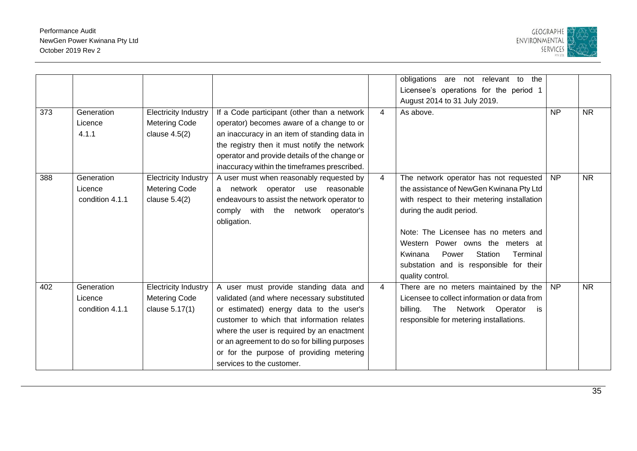

| 373 | Generation                               | <b>Electricity Industry</b>                                            | If a Code participant (other than a network                                                                                                                                                                                                                                                                                                          | 4              | obligations are not relevant to<br>the<br>Licensee's operations for the period 1<br>August 2014 to 31 July 2019.<br>As above.                                                                                                                                                                                                                       | <b>NP</b> | <b>NR</b> |
|-----|------------------------------------------|------------------------------------------------------------------------|------------------------------------------------------------------------------------------------------------------------------------------------------------------------------------------------------------------------------------------------------------------------------------------------------------------------------------------------------|----------------|-----------------------------------------------------------------------------------------------------------------------------------------------------------------------------------------------------------------------------------------------------------------------------------------------------------------------------------------------------|-----------|-----------|
|     | Licence<br>4.1.1                         | <b>Metering Code</b><br>clause $4.5(2)$                                | operator) becomes aware of a change to or<br>an inaccuracy in an item of standing data in<br>the registry then it must notify the network<br>operator and provide details of the change or<br>inaccuracy within the timeframes prescribed.                                                                                                           |                |                                                                                                                                                                                                                                                                                                                                                     |           |           |
| 388 | Generation<br>Licence<br>condition 4.1.1 | <b>Electricity Industry</b><br><b>Metering Code</b><br>clause $5.4(2)$ | A user must when reasonably requested by<br>a network operator use reasonable<br>endeavours to assist the network operator to<br>comply with the network operator's<br>obligation.                                                                                                                                                                   | $\overline{4}$ | The network operator has not requested<br>the assistance of NewGen Kwinana Pty Ltd<br>with respect to their metering installation<br>during the audit period.<br>Note: The Licensee has no meters and<br>Western Power owns the meters at<br>Kwinana<br>Power<br>Station<br>Terminal<br>substation and is responsible for their<br>quality control. | <b>NP</b> | <b>NR</b> |
| 402 | Generation<br>Licence<br>condition 4.1.1 | <b>Electricity Industry</b><br><b>Metering Code</b><br>clause 5.17(1)  | A user must provide standing data and<br>validated (and where necessary substituted<br>or estimated) energy data to the user's<br>customer to which that information relates<br>where the user is required by an enactment<br>or an agreement to do so for billing purposes<br>or for the purpose of providing metering<br>services to the customer. | $\overline{4}$ | There are no meters maintained by the<br>Licensee to collect information or data from<br>The Network Operator<br>billing.<br>is<br>responsible for metering installations.                                                                                                                                                                          | <b>NP</b> | <b>NR</b> |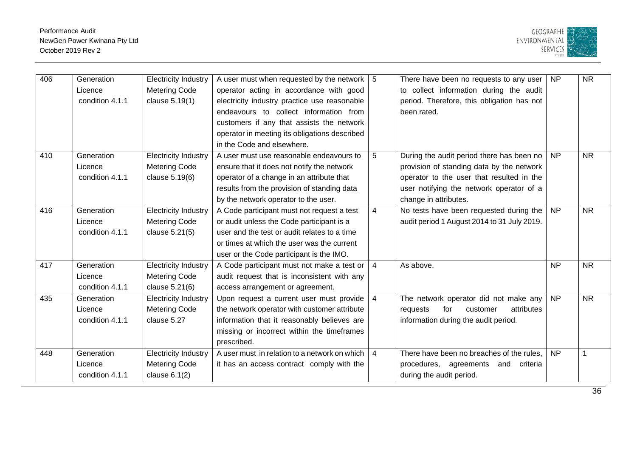

| 406 | Generation      | <b>Electricity Industry</b> | A user must when requested by the network   5 |                | There have been no requests to any user     | <b>NP</b>       | <b>NR</b>    |
|-----|-----------------|-----------------------------|-----------------------------------------------|----------------|---------------------------------------------|-----------------|--------------|
|     | Licence         | <b>Metering Code</b>        | operator acting in accordance with good       |                | to collect information during the audit     |                 |              |
|     | condition 4.1.1 | clause 5.19(1)              | electricity industry practice use reasonable  |                | period. Therefore, this obligation has not  |                 |              |
|     |                 |                             | endeavours to collect information from        |                | been rated.                                 |                 |              |
|     |                 |                             | customers if any that assists the network     |                |                                             |                 |              |
|     |                 |                             | operator in meeting its obligations described |                |                                             |                 |              |
|     |                 |                             | in the Code and elsewhere.                    |                |                                             |                 |              |
| 410 | Generation      | <b>Electricity Industry</b> | A user must use reasonable endeavours to      | 5              | During the audit period there has been no   | <b>NP</b>       | <b>NR</b>    |
|     | Licence         | <b>Metering Code</b>        | ensure that it does not notify the network    |                | provision of standing data by the network   |                 |              |
|     | condition 4.1.1 | clause 5.19(6)              | operator of a change in an attribute that     |                | operator to the user that resulted in the   |                 |              |
|     |                 |                             | results from the provision of standing data   |                | user notifying the network operator of a    |                 |              |
|     |                 |                             | by the network operator to the user.          |                | change in attributes.                       |                 |              |
| 416 | Generation      | <b>Electricity Industry</b> | A Code participant must not request a test    | 4              | No tests have been requested during the     | $\overline{NP}$ | <b>NR</b>    |
|     | Licence         | <b>Metering Code</b>        | or audit unless the Code participant is a     |                | audit period 1 August 2014 to 31 July 2019. |                 |              |
|     | condition 4.1.1 | clause 5.21(5)              | user and the test or audit relates to a time  |                |                                             |                 |              |
|     |                 |                             | or times at which the user was the current    |                |                                             |                 |              |
|     |                 |                             | user or the Code participant is the IMO.      |                |                                             |                 |              |
| 417 | Generation      | <b>Electricity Industry</b> | A Code participant must not make a test or    | 4              | As above.                                   | <b>NP</b>       | <b>NR</b>    |
|     | Licence         | <b>Metering Code</b>        | audit request that is inconsistent with any   |                |                                             |                 |              |
|     | condition 4.1.1 | clause 5.21(6)              | access arrangement or agreement.              |                |                                             |                 |              |
| 435 | Generation      | <b>Electricity Industry</b> | Upon request a current user must provide      | $\overline{4}$ | The network operator did not make any       | $\overline{NP}$ | <b>NR</b>    |
|     | Licence         | <b>Metering Code</b>        | the network operator with customer attribute  |                | for<br>attributes<br>customer<br>requests   |                 |              |
|     | condition 4.1.1 | clause 5.27                 | information that it reasonably believes are   |                | information during the audit period.        |                 |              |
|     |                 |                             | missing or incorrect within the timeframes    |                |                                             |                 |              |
|     |                 |                             | prescribed.                                   |                |                                             |                 |              |
| 448 | Generation      | <b>Electricity Industry</b> | A user must in relation to a network on which | $\overline{4}$ | There have been no breaches of the rules.   | <b>NP</b>       | $\mathbf{1}$ |
|     | Licence         | <b>Metering Code</b>        | it has an access contract comply with the     |                | procedures, agreements<br>and criteria      |                 |              |
|     | condition 4.1.1 | clause $6.1(2)$             |                                               |                | during the audit period.                    |                 |              |
|     |                 |                             |                                               |                |                                             |                 |              |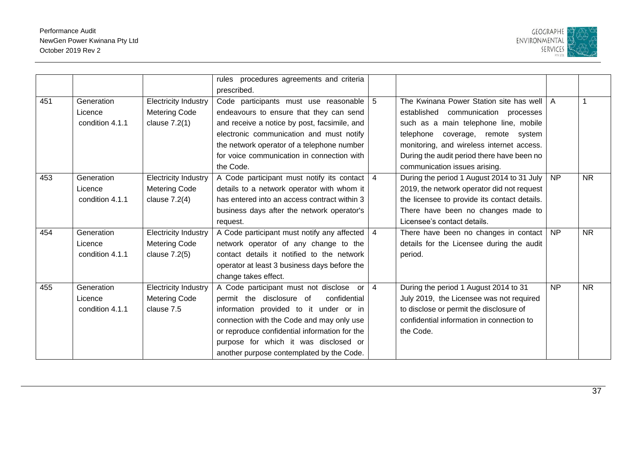

|     |                 |                             | rules procedures agreements and criteria       |                |                                              |                |           |
|-----|-----------------|-----------------------------|------------------------------------------------|----------------|----------------------------------------------|----------------|-----------|
|     |                 |                             | prescribed.                                    |                |                                              |                |           |
| 451 | Generation      | <b>Electricity Industry</b> | Code participants must use reasonable          | 5              | The Kwinana Power Station site has well      | $\overline{A}$ |           |
|     | Licence         | <b>Metering Code</b>        | endeavours to ensure that they can send        |                | established communication processes          |                |           |
|     | condition 4.1.1 | clause $7.2(1)$             | and receive a notice by post, facsimile, and   |                | such as a main telephone line, mobile        |                |           |
|     |                 |                             | electronic communication and must notify       |                | telephone<br>coverage, remote system         |                |           |
|     |                 |                             | the network operator of a telephone number     |                | monitoring, and wireless internet access.    |                |           |
|     |                 |                             | for voice communication in connection with     |                | During the audit period there have been no   |                |           |
|     |                 |                             | the Code.                                      |                | communication issues arising.                |                |           |
| 453 | Generation      | <b>Electricity Industry</b> | A Code participant must notify its contact   4 |                | During the period 1 August 2014 to 31 July   | <b>NP</b>      | <b>NR</b> |
|     | Licence         | <b>Metering Code</b>        | details to a network operator with whom it     |                | 2019, the network operator did not request   |                |           |
|     | condition 4.1.1 | clause $7.2(4)$             | has entered into an access contract within 3   |                | the licensee to provide its contact details. |                |           |
|     |                 |                             | business days after the network operator's     |                | There have been no changes made to           |                |           |
|     |                 |                             | request.                                       |                | Licensee's contact details.                  |                |           |
| 454 | Generation      | <b>Electricity Industry</b> | A Code participant must notify any affected    | $\overline{4}$ | There have been no changes in contact        | <b>NP</b>      | <b>NR</b> |
|     | Licence         | <b>Metering Code</b>        | network operator of any change to the          |                | details for the Licensee during the audit    |                |           |
|     | condition 4.1.1 | clause $7.2(5)$             | contact details it notified to the network     |                | period.                                      |                |           |
|     |                 |                             | operator at least 3 business days before the   |                |                                              |                |           |
|     |                 |                             | change takes effect.                           |                |                                              |                |           |
| 455 | Generation      | <b>Electricity Industry</b> | A Code participant must not disclose<br>or     | 4              | During the period 1 August 2014 to 31        | <b>NP</b>      | <b>NR</b> |
|     | Licence         | <b>Metering Code</b>        | permit the disclosure of<br>confidential       |                | July 2019, the Licensee was not required     |                |           |
|     | condition 4.1.1 | clause 7.5                  | information provided to it under or in         |                | to disclose or permit the disclosure of      |                |           |
|     |                 |                             | connection with the Code and may only use      |                | confidential information in connection to    |                |           |
|     |                 |                             | or reproduce confidential information for the  |                | the Code.                                    |                |           |
|     |                 |                             | purpose for which it was disclosed or          |                |                                              |                |           |
|     |                 |                             | another purpose contemplated by the Code.      |                |                                              |                |           |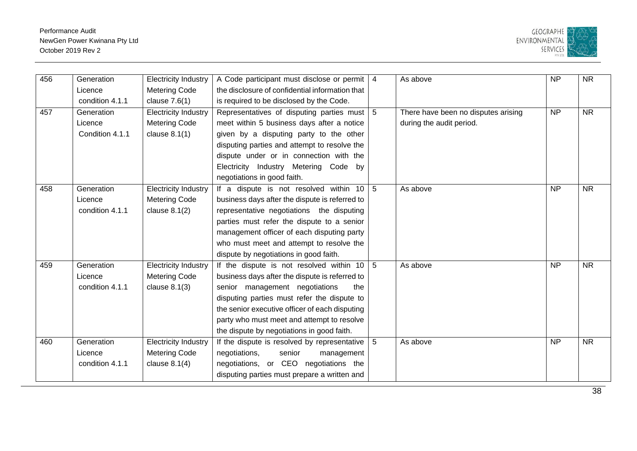

| 456 | Generation      | <b>Electricity Industry</b> | A Code participant must disclose or permit        | $\overline{4}$  | As above                            | $\overline{NP}$ | $\overline{\text{NR}}$ |
|-----|-----------------|-----------------------------|---------------------------------------------------|-----------------|-------------------------------------|-----------------|------------------------|
|     | Licence         | <b>Metering Code</b>        | the disclosure of confidential information that   |                 |                                     |                 |                        |
|     | condition 4.1.1 | clause $7.6(1)$             | is required to be disclosed by the Code.          |                 |                                     |                 |                        |
| 457 | Generation      | <b>Electricity Industry</b> | Representatives of disputing parties must         | $5\overline{5}$ | There have been no disputes arising | $\overline{NP}$ | $\overline{\text{NR}}$ |
|     | Licence         | <b>Metering Code</b>        | meet within 5 business days after a notice        |                 | during the audit period.            |                 |                        |
|     | Condition 4.1.1 | clause $8.1(1)$             | given by a disputing party to the other           |                 |                                     |                 |                        |
|     |                 |                             | disputing parties and attempt to resolve the      |                 |                                     |                 |                        |
|     |                 |                             | dispute under or in connection with the           |                 |                                     |                 |                        |
|     |                 |                             | Electricity Industry Metering Code by             |                 |                                     |                 |                        |
|     |                 |                             | negotiations in good faith.                       |                 |                                     |                 |                        |
| 458 | Generation      | <b>Electricity Industry</b> | If a dispute is not resolved within 10            | 5               | As above                            | <b>NP</b>       | $\overline{\text{NR}}$ |
|     | Licence         | <b>Metering Code</b>        | business days after the dispute is referred to    |                 |                                     |                 |                        |
|     | condition 4.1.1 | clause $8.1(2)$             | representative negotiations the disputing         |                 |                                     |                 |                        |
|     |                 |                             | parties must refer the dispute to a senior        |                 |                                     |                 |                        |
|     |                 |                             | management officer of each disputing party        |                 |                                     |                 |                        |
|     |                 |                             | who must meet and attempt to resolve the          |                 |                                     |                 |                        |
|     |                 |                             | dispute by negotiations in good faith.            |                 |                                     |                 |                        |
| 459 | Generation      | <b>Electricity Industry</b> | If the dispute is not resolved within $10 \mid 5$ |                 | As above                            | $\overline{NP}$ | $\overline{\text{NR}}$ |
|     | Licence         | <b>Metering Code</b>        | business days after the dispute is referred to    |                 |                                     |                 |                        |
|     | condition 4.1.1 | clause $8.1(3)$             | senior management negotiations<br>the             |                 |                                     |                 |                        |
|     |                 |                             | disputing parties must refer the dispute to       |                 |                                     |                 |                        |
|     |                 |                             | the senior executive officer of each disputing    |                 |                                     |                 |                        |
|     |                 |                             | party who must meet and attempt to resolve        |                 |                                     |                 |                        |
|     |                 |                             | the dispute by negotiations in good faith.        |                 |                                     |                 |                        |
| 460 | Generation      | <b>Electricity Industry</b> | If the dispute is resolved by representative      | 5               | As above                            | $\overline{NP}$ | $\overline{\text{NR}}$ |
|     | Licence         | <b>Metering Code</b>        | negotiations,<br>senior<br>management             |                 |                                     |                 |                        |
|     | condition 4.1.1 | clause $8.1(4)$             | negotiations, or CEO negotiations the             |                 |                                     |                 |                        |
|     |                 |                             | disputing parties must prepare a written and      |                 |                                     |                 |                        |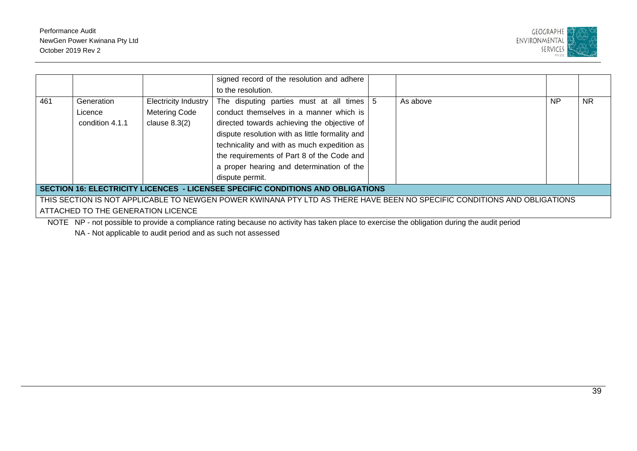

|     |                                                                                                                                                                                                                                                                                                                                                                                                                                                                                       |                             | signed record of the resolution and adhere                                                                                                                                                                                                                              |  |                                                                                                                                                                                                                                                                                                                                                      |           |           |  |
|-----|---------------------------------------------------------------------------------------------------------------------------------------------------------------------------------------------------------------------------------------------------------------------------------------------------------------------------------------------------------------------------------------------------------------------------------------------------------------------------------------|-----------------------------|-------------------------------------------------------------------------------------------------------------------------------------------------------------------------------------------------------------------------------------------------------------------------|--|------------------------------------------------------------------------------------------------------------------------------------------------------------------------------------------------------------------------------------------------------------------------------------------------------------------------------------------------------|-----------|-----------|--|
|     |                                                                                                                                                                                                                                                                                                                                                                                                                                                                                       |                             | to the resolution.                                                                                                                                                                                                                                                      |  |                                                                                                                                                                                                                                                                                                                                                      |           |           |  |
| 461 | Generation                                                                                                                                                                                                                                                                                                                                                                                                                                                                            | <b>Electricity Industry</b> | The disputing parties must at all times $\vert 5 \rangle$                                                                                                                                                                                                               |  | As above                                                                                                                                                                                                                                                                                                                                             | <b>NP</b> | <b>NR</b> |  |
|     | Licence                                                                                                                                                                                                                                                                                                                                                                                                                                                                               | <b>Metering Code</b>        | conduct themselves in a manner which is                                                                                                                                                                                                                                 |  |                                                                                                                                                                                                                                                                                                                                                      |           |           |  |
|     | condition 4.1.1                                                                                                                                                                                                                                                                                                                                                                                                                                                                       | clause $8.3(2)$             | directed towards achieving the objective of                                                                                                                                                                                                                             |  |                                                                                                                                                                                                                                                                                                                                                      |           |           |  |
|     |                                                                                                                                                                                                                                                                                                                                                                                                                                                                                       |                             | dispute resolution with as little formality and                                                                                                                                                                                                                         |  |                                                                                                                                                                                                                                                                                                                                                      |           |           |  |
|     |                                                                                                                                                                                                                                                                                                                                                                                                                                                                                       |                             | technicality and with as much expedition as                                                                                                                                                                                                                             |  |                                                                                                                                                                                                                                                                                                                                                      |           |           |  |
|     |                                                                                                                                                                                                                                                                                                                                                                                                                                                                                       |                             | the requirements of Part 8 of the Code and                                                                                                                                                                                                                              |  |                                                                                                                                                                                                                                                                                                                                                      |           |           |  |
|     |                                                                                                                                                                                                                                                                                                                                                                                                                                                                                       |                             | a proper hearing and determination of the                                                                                                                                                                                                                               |  |                                                                                                                                                                                                                                                                                                                                                      |           |           |  |
|     |                                                                                                                                                                                                                                                                                                                                                                                                                                                                                       |                             | dispute permit.                                                                                                                                                                                                                                                         |  |                                                                                                                                                                                                                                                                                                                                                      |           |           |  |
|     | SECTION 16: ELECTRICITY LICENCES - LICENSEE SPECIFIC CONDITIONS AND OBLIGATIONS                                                                                                                                                                                                                                                                                                                                                                                                       |                             |                                                                                                                                                                                                                                                                         |  |                                                                                                                                                                                                                                                                                                                                                      |           |           |  |
|     |                                                                                                                                                                                                                                                                                                                                                                                                                                                                                       |                             | THIS SECTION IS NOT APPLICABLE TO NEWGEN POWER KWINANA PTY LTD AS THERE HAVE BEEN NO SPECIFIC CONDITIONS AND OBLIGATIONS                                                                                                                                                |  |                                                                                                                                                                                                                                                                                                                                                      |           |           |  |
|     | ATTACHED TO THE GENERATION LICENCE                                                                                                                                                                                                                                                                                                                                                                                                                                                    |                             |                                                                                                                                                                                                                                                                         |  |                                                                                                                                                                                                                                                                                                                                                      |           |           |  |
|     | $\mathbf{1} \cdot \mathbf{1} \cdot \mathbf{1} \cdot \mathbf{1} \cdot \mathbf{1} \cdot \mathbf{1} \cdot \mathbf{1} \cdot \mathbf{1} \cdot \mathbf{1} \cdot \mathbf{1} \cdot \mathbf{1} \cdot \mathbf{1} \cdot \mathbf{1} \cdot \mathbf{1} \cdot \mathbf{1} \cdot \mathbf{1} \cdot \mathbf{1} \cdot \mathbf{1} \cdot \mathbf{1} \cdot \mathbf{1} \cdot \mathbf{1} \cdot \mathbf{1} \cdot \mathbf{1} \cdot \mathbf{1} \cdot \mathbf{1} \cdot \mathbf{1} \cdot \mathbf{1} \cdot \mathbf{$ |                             | $\sim$ $\sim$ $\sim$ $\sim$ $\sim$<br>$\mathbf{r}$ , and the contract of the contract of the contract of the contract of the contract of the contract of the contract of the contract of the contract of the contract of the contract of the contract of the contract o |  | $\mathbf{r}$ . The second contract of the second contract of the second contract of the second contract of the second contract of the second contract of the second contract of the second contract of the second contract of the<br>the contract of the contract of the contract of the contract of the contract of the contract of the contract of |           |           |  |

NOTE NP - not possible to provide a compliance rating because no activity has taken place to exercise the obligation during the audit period

NA - Not applicable to audit period and as such not assessed